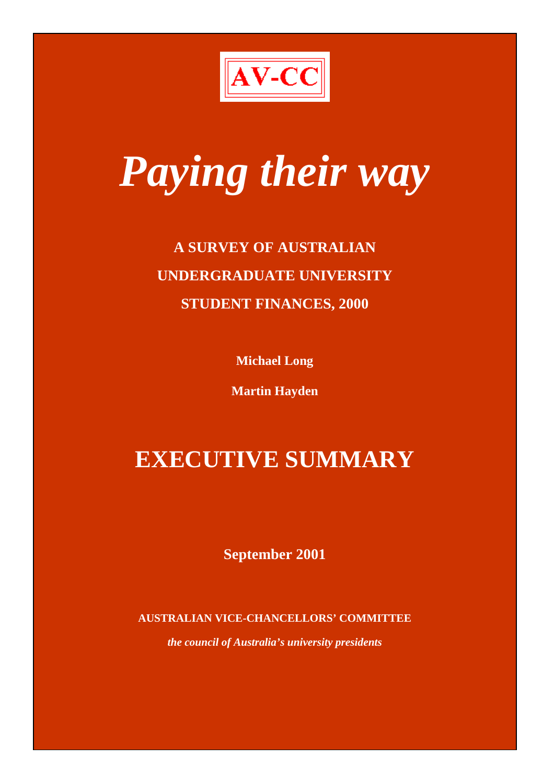

# *Paying their way*

# **A SURVEY OF AUSTRALIAN UNDERGRADUATE UNIVERSITY STUDENT FINANCES, 2000**

**Michael Long**

**Martin Hayden**

# **EXECUTIVE SUMMARY**

**September 2001**

**AUSTRALIAN VICE-CHANCELLORS' COMMITTEE**

*the council of Australia's university presidents*

i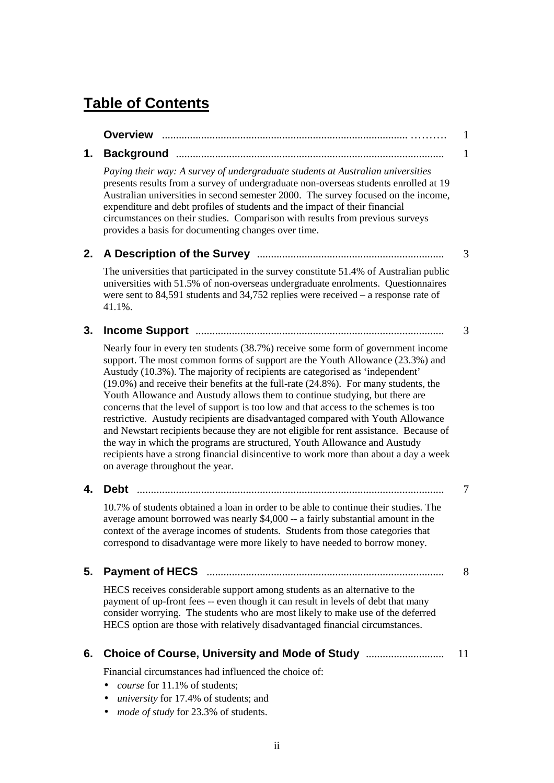# **Table of Contents**

|    |                                                                                                                                                                                                                                                                                                                                                                                                                                                                                                                                                                                                                                                                                                                                                                                                                                                                                                           | $\mathbf{1}$ |
|----|-----------------------------------------------------------------------------------------------------------------------------------------------------------------------------------------------------------------------------------------------------------------------------------------------------------------------------------------------------------------------------------------------------------------------------------------------------------------------------------------------------------------------------------------------------------------------------------------------------------------------------------------------------------------------------------------------------------------------------------------------------------------------------------------------------------------------------------------------------------------------------------------------------------|--------------|
| 1. |                                                                                                                                                                                                                                                                                                                                                                                                                                                                                                                                                                                                                                                                                                                                                                                                                                                                                                           | 1            |
|    | Paying their way: A survey of undergraduate students at Australian universities<br>presents results from a survey of undergraduate non-overseas students enrolled at 19<br>Australian universities in second semester 2000. The survey focused on the income,<br>expenditure and debt profiles of students and the impact of their financial<br>circumstances on their studies. Comparison with results from previous surveys<br>provides a basis for documenting changes over time.                                                                                                                                                                                                                                                                                                                                                                                                                      |              |
| 2. |                                                                                                                                                                                                                                                                                                                                                                                                                                                                                                                                                                                                                                                                                                                                                                                                                                                                                                           | 3            |
|    | The universities that participated in the survey constitute 51.4% of Australian public<br>universities with 51.5% of non-overseas undergraduate enrolments. Questionnaires<br>were sent to 84,591 students and 34,752 replies were received $-$ a response rate of<br>41.1%.                                                                                                                                                                                                                                                                                                                                                                                                                                                                                                                                                                                                                              |              |
| 3. |                                                                                                                                                                                                                                                                                                                                                                                                                                                                                                                                                                                                                                                                                                                                                                                                                                                                                                           | 3            |
|    | Nearly four in every ten students (38.7%) receive some form of government income<br>support. The most common forms of support are the Youth Allowance (23.3%) and<br>Austudy (10.3%). The majority of recipients are categorised as 'independent'<br>$(19.0\%)$ and receive their benefits at the full-rate $(24.8\%)$ . For many students, the<br>Youth Allowance and Austudy allows them to continue studying, but there are<br>concerns that the level of support is too low and that access to the schemes is too<br>restrictive. Austudy recipients are disadvantaged compared with Youth Allowance<br>and Newstart recipients because they are not eligible for rent assistance. Because of<br>the way in which the programs are structured, Youth Allowance and Austudy<br>recipients have a strong financial disincentive to work more than about a day a week<br>on average throughout the year. |              |
| 4. | <b>Debt</b>                                                                                                                                                                                                                                                                                                                                                                                                                                                                                                                                                                                                                                                                                                                                                                                                                                                                                               | 7            |
|    | 10.7% of students obtained a loan in order to be able to continue their studies. The<br>average amount borrowed was nearly \$4,000 -- a fairly substantial amount in the<br>context of the average incomes of students. Students from those categories that<br>correspond to disadvantage were more likely to have needed to borrow money.                                                                                                                                                                                                                                                                                                                                                                                                                                                                                                                                                                |              |
| 5. |                                                                                                                                                                                                                                                                                                                                                                                                                                                                                                                                                                                                                                                                                                                                                                                                                                                                                                           | 8            |
|    | HECS receives considerable support among students as an alternative to the<br>payment of up-front fees -- even though it can result in levels of debt that many<br>consider worrying. The students who are most likely to make use of the deferred<br>HECS option are those with relatively disadvantaged financial circumstances.                                                                                                                                                                                                                                                                                                                                                                                                                                                                                                                                                                        |              |
| 6. | Choice of Course, University and Mode of Study                                                                                                                                                                                                                                                                                                                                                                                                                                                                                                                                                                                                                                                                                                                                                                                                                                                            | 11           |
|    | Financial circumstances had influenced the choice of:                                                                                                                                                                                                                                                                                                                                                                                                                                                                                                                                                                                                                                                                                                                                                                                                                                                     |              |

- *course* for 11.1% of students;
- *university* for 17.4% of students; and
- *mode of study* for 23.3% of students.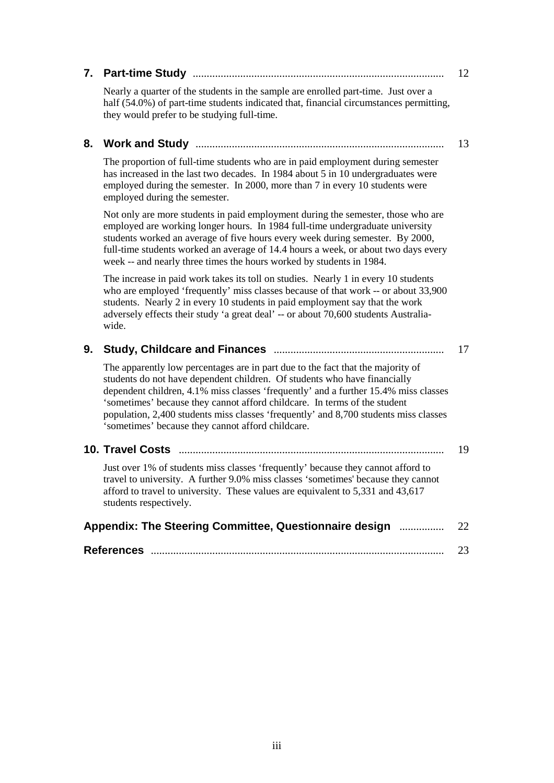| 7. |                                                                                                                                                                                                                                                                                                                                                                                                                                                                               | 12 |
|----|-------------------------------------------------------------------------------------------------------------------------------------------------------------------------------------------------------------------------------------------------------------------------------------------------------------------------------------------------------------------------------------------------------------------------------------------------------------------------------|----|
|    | Nearly a quarter of the students in the sample are enrolled part-time. Just over a<br>half (54.0%) of part-time students indicated that, financial circumstances permitting,<br>they would prefer to be studying full-time.                                                                                                                                                                                                                                                   |    |
| 8. |                                                                                                                                                                                                                                                                                                                                                                                                                                                                               | 13 |
|    | The proportion of full-time students who are in paid employment during semester<br>has increased in the last two decades. In 1984 about 5 in 10 undergraduates were<br>employed during the semester. In 2000, more than 7 in every 10 students were<br>employed during the semester.                                                                                                                                                                                          |    |
|    | Not only are more students in paid employment during the semester, those who are<br>employed are working longer hours. In 1984 full-time undergraduate university<br>students worked an average of five hours every week during semester. By 2000,<br>full-time students worked an average of 14.4 hours a week, or about two days every<br>week -- and nearly three times the hours worked by students in 1984.                                                              |    |
|    | The increase in paid work takes its toll on studies. Nearly 1 in every 10 students<br>who are employed 'frequently' miss classes because of that work -- or about 33,900<br>students. Nearly 2 in every 10 students in paid employment say that the work<br>adversely effects their study 'a great deal' -- or about 70,600 students Australia-<br>wide.                                                                                                                      |    |
| 9. |                                                                                                                                                                                                                                                                                                                                                                                                                                                                               | 17 |
|    | The apparently low percentages are in part due to the fact that the majority of<br>students do not have dependent children. Of students who have financially<br>dependent children, 4.1% miss classes 'frequently' and a further 15.4% miss classes<br>'sometimes' because they cannot afford childcare. In terms of the student<br>population, 2,400 students miss classes 'frequently' and 8,700 students miss classes<br>'sometimes' because they cannot afford childcare. |    |
|    |                                                                                                                                                                                                                                                                                                                                                                                                                                                                               | 19 |
|    | Just over 1% of students miss classes 'frequently' because they cannot afford to<br>travel to university. A further 9.0% miss classes 'sometimes' because they cannot<br>afford to travel to university. These values are equivalent to 5,331 and 43,617<br>students respectively.                                                                                                                                                                                            |    |
|    | Appendix: The Steering Committee, Questionnaire design                                                                                                                                                                                                                                                                                                                                                                                                                        | 22 |
|    |                                                                                                                                                                                                                                                                                                                                                                                                                                                                               | 23 |
|    |                                                                                                                                                                                                                                                                                                                                                                                                                                                                               |    |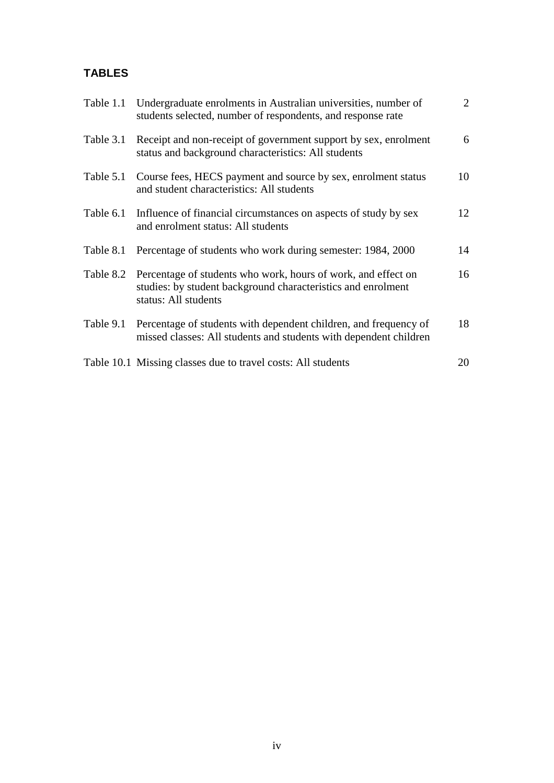# **TABLES**

| Table 1.1 | Undergraduate enrolments in Australian universities, number of<br>students selected, number of respondents, and response rate                         | $\overline{2}$ |
|-----------|-------------------------------------------------------------------------------------------------------------------------------------------------------|----------------|
| Table 3.1 | Receipt and non-receipt of government support by sex, enrolment<br>status and background characteristics: All students                                | 6              |
| Table 5.1 | Course fees, HECS payment and source by sex, enrolment status<br>and student characteristics: All students                                            | 10             |
| Table 6.1 | Influence of financial circumstances on aspects of study by sex<br>and enrolment status: All students                                                 | 12             |
| Table 8.1 | Percentage of students who work during semester: 1984, 2000                                                                                           | 14             |
| Table 8.2 | Percentage of students who work, hours of work, and effect on<br>studies: by student background characteristics and enrolment<br>status: All students | 16             |
| Table 9.1 | Percentage of students with dependent children, and frequency of<br>missed classes: All students and students with dependent children                 | 18             |
|           | Table 10.1 Missing classes due to travel costs: All students                                                                                          | 20             |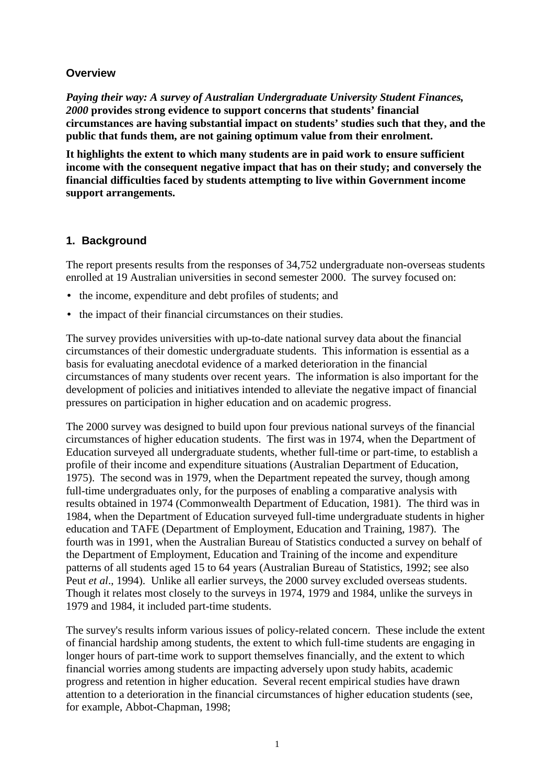#### **Overview**

*Paying their way: A survey of Australian Undergraduate University Student Finances, 2000* **provides strong evidence to support concerns that students' financial circumstances are having substantial impact on students' studies such that they, and the public that funds them, are not gaining optimum value from their enrolment.**

**It highlights the extent to which many students are in paid work to ensure sufficient income with the consequent negative impact that has on their study; and conversely the financial difficulties faced by students attempting to live within Government income support arrangements.**

#### **1. Background**

The report presents results from the responses of 34,752 undergraduate non-overseas students enrolled at 19 Australian universities in second semester 2000. The survey focused on:

- the income, expenditure and debt profiles of students; and
- the impact of their financial circumstances on their studies.

The survey provides universities with up-to-date national survey data about the financial circumstances of their domestic undergraduate students. This information is essential as a basis for evaluating anecdotal evidence of a marked deterioration in the financial circumstances of many students over recent years. The information is also important for the development of policies and initiatives intended to alleviate the negative impact of financial pressures on participation in higher education and on academic progress.

The 2000 survey was designed to build upon four previous national surveys of the financial circumstances of higher education students. The first was in 1974, when the Department of Education surveyed all undergraduate students, whether full-time or part-time, to establish a profile of their income and expenditure situations (Australian Department of Education, 1975). The second was in 1979, when the Department repeated the survey, though among full-time undergraduates only, for the purposes of enabling a comparative analysis with results obtained in 1974 (Commonwealth Department of Education, 1981). The third was in 1984, when the Department of Education surveyed full-time undergraduate students in higher education and TAFE (Department of Employment, Education and Training, 1987). The fourth was in 1991, when the Australian Bureau of Statistics conducted a survey on behalf of the Department of Employment, Education and Training of the income and expenditure patterns of all students aged 15 to 64 years (Australian Bureau of Statistics, 1992; see also Peut *et al*., 1994). Unlike all earlier surveys, the 2000 survey excluded overseas students. Though it relates most closely to the surveys in 1974, 1979 and 1984, unlike the surveys in 1979 and 1984, it included part-time students.

The survey's results inform various issues of policy-related concern. These include the extent of financial hardship among students, the extent to which full-time students are engaging in longer hours of part-time work to support themselves financially, and the extent to which financial worries among students are impacting adversely upon study habits, academic progress and retention in higher education. Several recent empirical studies have drawn attention to a deterioration in the financial circumstances of higher education students (see, for example, Abbot-Chapman, 1998;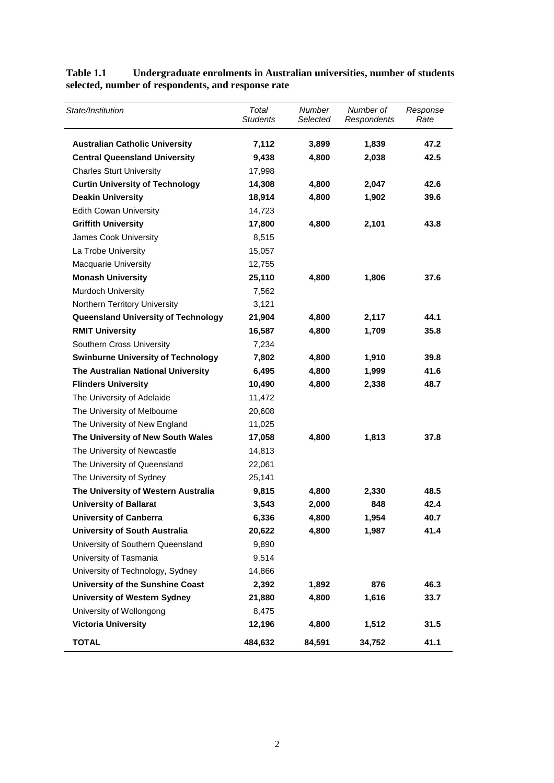| State/Institution                         | Total<br><b>Students</b> | Number<br>Selected | Number of<br>Respondents | Response<br>Rate |
|-------------------------------------------|--------------------------|--------------------|--------------------------|------------------|
| <b>Australian Catholic University</b>     | 7,112                    | 3,899              | 1,839                    | 47.2             |
| <b>Central Queensland University</b>      | 9,438                    | 4,800              | 2,038                    | 42.5             |
| <b>Charles Sturt University</b>           | 17,998                   |                    |                          |                  |
| <b>Curtin University of Technology</b>    | 14,308                   | 4,800              | 2,047                    | 42.6             |
| <b>Deakin University</b>                  | 18,914                   | 4,800              | 1,902                    | 39.6             |
| <b>Edith Cowan University</b>             | 14,723                   |                    |                          |                  |
| <b>Griffith University</b>                | 17,800                   | 4,800              | 2,101                    | 43.8             |
| James Cook University                     | 8,515                    |                    |                          |                  |
| La Trobe University                       | 15,057                   |                    |                          |                  |
| <b>Macquarie University</b>               | 12,755                   |                    |                          |                  |
| <b>Monash University</b>                  | 25,110                   | 4,800              | 1,806                    | 37.6             |
| Murdoch University                        | 7,562                    |                    |                          |                  |
| Northern Territory University             | 3,121                    |                    |                          |                  |
| Queensland University of Technology       | 21,904                   | 4,800              | 2,117                    | 44.1             |
| <b>RMIT University</b>                    | 16,587                   | 4,800              | 1,709                    | 35.8             |
| Southern Cross University                 | 7,234                    |                    |                          |                  |
| <b>Swinburne University of Technology</b> | 7,802                    | 4,800              | 1,910                    | 39.8             |
| The Australian National University        | 6,495                    | 4,800              | 1,999                    | 41.6             |
| <b>Flinders University</b>                | 10,490                   | 4,800              | 2,338                    | 48.7             |
| The University of Adelaide                | 11,472                   |                    |                          |                  |
| The University of Melbourne               | 20,608                   |                    |                          |                  |
| The University of New England             | 11,025                   |                    |                          |                  |
| The University of New South Wales         | 17,058                   | 4,800              | 1,813                    | 37.8             |
| The University of Newcastle               | 14,813                   |                    |                          |                  |
| The University of Queensland              | 22,061                   |                    |                          |                  |
| The University of Sydney                  | 25,141                   |                    |                          |                  |
| The University of Western Australia       | 9,815                    | 4,800              | 2,330                    | 48.5             |
| <b>University of Ballarat</b>             | 3,543                    | 2,000              | 848                      | 42.4             |
| <b>University of Canberra</b>             | 6,336                    | 4,800              | 1,954                    | 40.7             |
| <b>University of South Australia</b>      | 20,622                   | 4,800              | 1,987                    | 41.4             |
| University of Southern Queensland         | 9,890                    |                    |                          |                  |
| University of Tasmania                    | 9,514                    |                    |                          |                  |
| University of Technology, Sydney          | 14,866                   |                    |                          |                  |
| University of the Sunshine Coast          | 2,392                    | 1,892              | 876                      | 46.3             |
| <b>University of Western Sydney</b>       | 21,880                   | 4,800              | 1,616                    | 33.7             |
| University of Wollongong                  | 8,475                    |                    |                          |                  |
| <b>Victoria University</b>                | 12,196                   | 4,800              | 1,512                    | 31.5             |
| <b>TOTAL</b>                              | 484,632                  | 84,591             | 34,752                   | 41.1             |

**Table 1.1 Undergraduate enrolments in Australian universities, number of students selected, number of respondents, and response rate**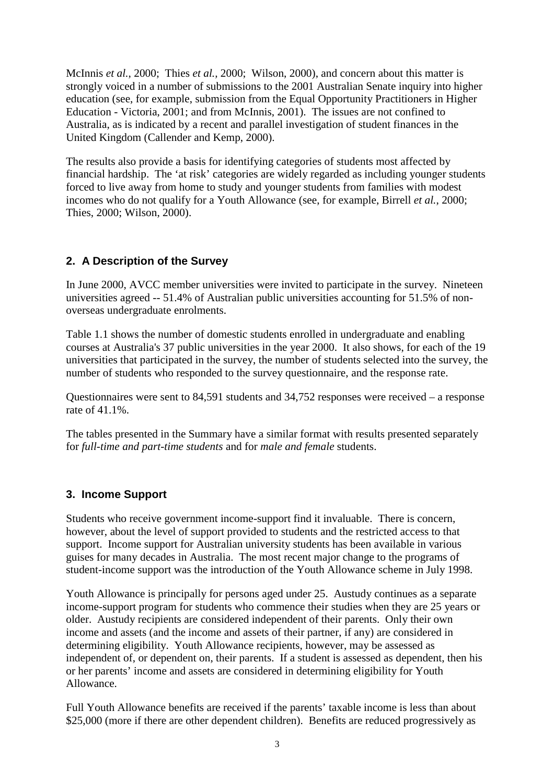McInnis *et al.*, 2000; Thies *et al.,* 2000; Wilson, 2000), and concern about this matter is strongly voiced in a number of submissions to the 2001 Australian Senate inquiry into higher education (see, for example, submission from the Equal Opportunity Practitioners in Higher Education - Victoria, 2001; and from McInnis, 2001). The issues are not confined to Australia, as is indicated by a recent and parallel investigation of student finances in the United Kingdom (Callender and Kemp, 2000).

The results also provide a basis for identifying categories of students most affected by financial hardship. The 'at risk' categories are widely regarded as including younger students forced to live away from home to study and younger students from families with modest incomes who do not qualify for a Youth Allowance (see, for example, Birrell *et al.*, 2000; Thies, 2000; Wilson, 2000).

# **2. A Description of the Survey**

In June 2000, AVCC member universities were invited to participate in the survey. Nineteen universities agreed -- 51.4% of Australian public universities accounting for 51.5% of nonoverseas undergraduate enrolments.

Table 1.1 shows the number of domestic students enrolled in undergraduate and enabling courses at Australia's 37 public universities in the year 2000. It also shows, for each of the 19 universities that participated in the survey, the number of students selected into the survey, the number of students who responded to the survey questionnaire, and the response rate.

Questionnaires were sent to 84,591 students and 34,752 responses were received – a response rate of 41.1%.

The tables presented in the Summary have a similar format with results presented separately for *full-time and part-time students* and for *male and female* students.

## **3. Income Support**

Students who receive government income-support find it invaluable. There is concern, however, about the level of support provided to students and the restricted access to that support. Income support for Australian university students has been available in various guises for many decades in Australia. The most recent major change to the programs of student-income support was the introduction of the Youth Allowance scheme in July 1998.

Youth Allowance is principally for persons aged under 25. Austudy continues as a separate income-support program for students who commence their studies when they are 25 years or older. Austudy recipients are considered independent of their parents. Only their own income and assets (and the income and assets of their partner, if any) are considered in determining eligibility. Youth Allowance recipients, however, may be assessed as independent of, or dependent on, their parents. If a student is assessed as dependent, then his or her parents' income and assets are considered in determining eligibility for Youth Allowance.

Full Youth Allowance benefits are received if the parents' taxable income is less than about \$25,000 (more if there are other dependent children). Benefits are reduced progressively as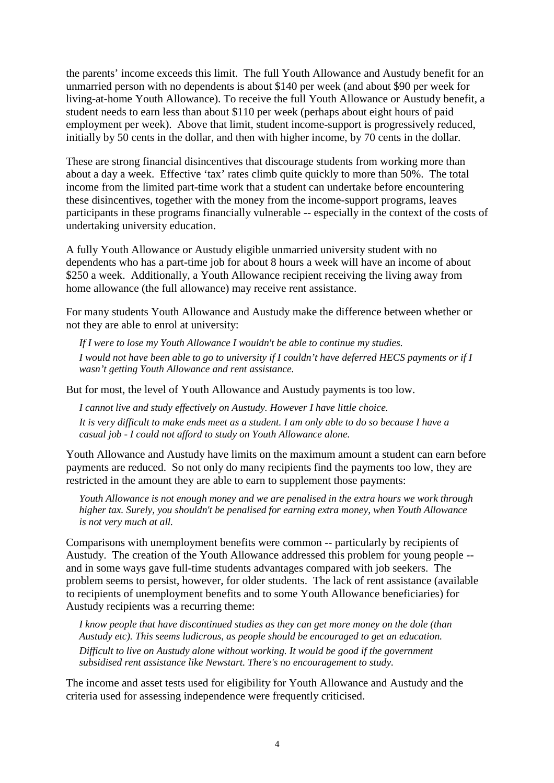the parents' income exceeds this limit. The full Youth Allowance and Austudy benefit for an unmarried person with no dependents is about \$140 per week (and about \$90 per week for living-at-home Youth Allowance). To receive the full Youth Allowance or Austudy benefit, a student needs to earn less than about \$110 per week (perhaps about eight hours of paid employment per week). Above that limit, student income-support is progressively reduced, initially by 50 cents in the dollar, and then with higher income, by 70 cents in the dollar.

These are strong financial disincentives that discourage students from working more than about a day a week. Effective 'tax' rates climb quite quickly to more than 50%. The total income from the limited part-time work that a student can undertake before encountering these disincentives, together with the money from the income-support programs, leaves participants in these programs financially vulnerable -- especially in the context of the costs of undertaking university education.

A fully Youth Allowance or Austudy eligible unmarried university student with no dependents who has a part-time job for about 8 hours a week will have an income of about \$250 a week. Additionally, a Youth Allowance recipient receiving the living away from home allowance (the full allowance) may receive rent assistance.

For many students Youth Allowance and Austudy make the difference between whether or not they are able to enrol at university:

*If I were to lose my Youth Allowance I wouldn't be able to continue my studies. I would not have been able to go to university if I couldn't have deferred HECS payments or if I wasn't getting Youth Allowance and rent assistance.*

But for most, the level of Youth Allowance and Austudy payments is too low.

*I cannot live and study effectively on Austudy. However I have little choice. It is very difficult to make ends meet as a student. I am only able to do so because I have a casual job - I could not afford to study on Youth Allowance alone.*

Youth Allowance and Austudy have limits on the maximum amount a student can earn before payments are reduced. So not only do many recipients find the payments too low, they are restricted in the amount they are able to earn to supplement those payments:

*Youth Allowance is not enough money and we are penalised in the extra hours we work through higher tax. Surely, you shouldn't be penalised for earning extra money, when Youth Allowance is not very much at all.*

Comparisons with unemployment benefits were common -- particularly by recipients of Austudy. The creation of the Youth Allowance addressed this problem for young people - and in some ways gave full-time students advantages compared with job seekers. The problem seems to persist, however, for older students. The lack of rent assistance (available to recipients of unemployment benefits and to some Youth Allowance beneficiaries) for Austudy recipients was a recurring theme:

*I know people that have discontinued studies as they can get more money on the dole (than Austudy etc). This seems ludicrous, as people should be encouraged to get an education. Difficult to live on Austudy alone without working. It would be good if the government subsidised rent assistance like Newstart. There's no encouragement to study.*

The income and asset tests used for eligibility for Youth Allowance and Austudy and the criteria used for assessing independence were frequently criticised.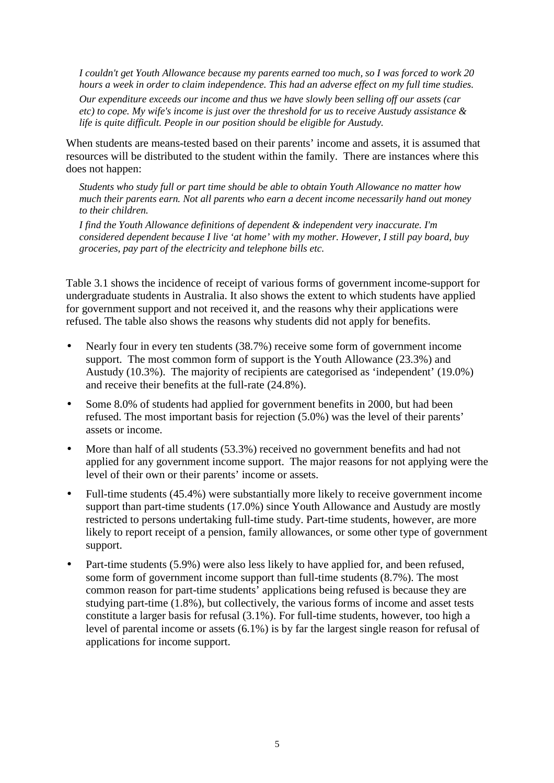*I couldn't get Youth Allowance because my parents earned too much, so I was forced to work 20 hours a week in order to claim independence. This had an adverse effect on my full time studies.*

*Our expenditure exceeds our income and thus we have slowly been selling off our assets (car etc) to cope. My wife's income is just over the threshold for us to receive Austudy assistance & life is quite difficult. People in our position should be eligible for Austudy.*

When students are means-tested based on their parents' income and assets, it is assumed that resources will be distributed to the student within the family. There are instances where this does not happen:

*Students who study full or part time should be able to obtain Youth Allowance no matter how much their parents earn. Not all parents who earn a decent income necessarily hand out money to their children.*

*I find the Youth Allowance definitions of dependent & independent very inaccurate. I'm considered dependent because I live 'at home' with my mother. However, I still pay board, buy groceries, pay part of the electricity and telephone bills etc.*

Table 3.1 shows the incidence of receipt of various forms of government income-support for undergraduate students in Australia. It also shows the extent to which students have applied for government support and not received it, and the reasons why their applications were refused. The table also shows the reasons why students did not apply for benefits.

- Nearly four in every ten students (38.7%) receive some form of government income support. The most common form of support is the Youth Allowance (23.3%) and Austudy (10.3%). The majority of recipients are categorised as 'independent' (19.0%) and receive their benefits at the full-rate (24.8%).
- Some 8.0% of students had applied for government benefits in 2000, but had been refused. The most important basis for rejection (5.0%) was the level of their parents' assets or income.
- More than half of all students (53.3%) received no government benefits and had not applied for any government income support. The major reasons for not applying were the level of their own or their parents' income or assets.
- Full-time students (45.4%) were substantially more likely to receive government income support than part-time students (17.0%) since Youth Allowance and Austudy are mostly restricted to persons undertaking full-time study. Part-time students, however, are more likely to report receipt of a pension, family allowances, or some other type of government support.
- Part-time students (5.9%) were also less likely to have applied for, and been refused, some form of government income support than full-time students (8.7%). The most common reason for part-time students' applications being refused is because they are studying part-time (1.8%), but collectively, the various forms of income and asset tests constitute a larger basis for refusal (3.1%). For full-time students, however, too high a level of parental income or assets (6.1%) is by far the largest single reason for refusal of applications for income support.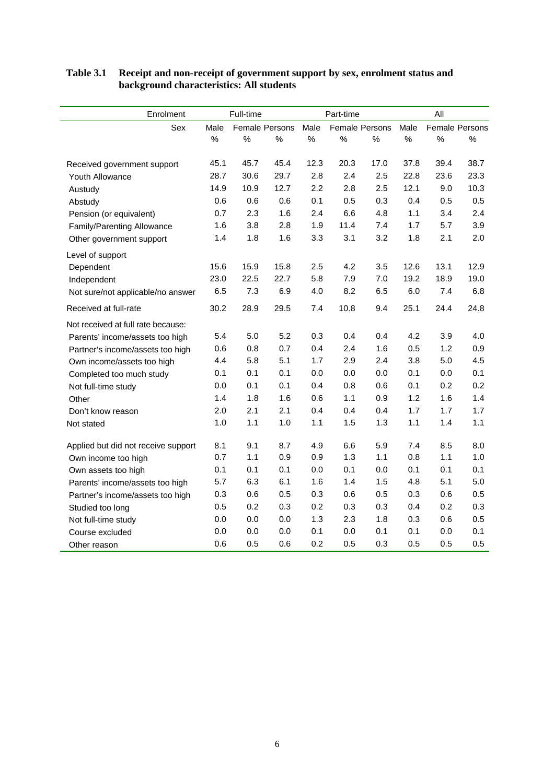| Enrolment                           |      | Full-time |                       |      | Part-time             |         |      | All  |                       |
|-------------------------------------|------|-----------|-----------------------|------|-----------------------|---------|------|------|-----------------------|
| Sex                                 | Male |           | <b>Female Persons</b> | Male | <b>Female Persons</b> |         | Male |      | <b>Female Persons</b> |
|                                     | $\%$ | $\%$      | $\%$                  | $\%$ | $\%$                  | $\%$    | $\%$ | $\%$ | $\%$                  |
| Received government support         | 45.1 | 45.7      | 45.4                  | 12.3 | 20.3                  | 17.0    | 37.8 | 39.4 | 38.7                  |
| Youth Allowance                     | 28.7 | 30.6      | 29.7                  | 2.8  | 2.4                   | 2.5     | 22.8 | 23.6 | 23.3                  |
| Austudy                             | 14.9 | 10.9      | 12.7                  | 2.2  | 2.8                   | 2.5     | 12.1 | 9.0  | 10.3                  |
| Abstudy                             | 0.6  | 0.6       | 0.6                   | 0.1  | 0.5                   | 0.3     | 0.4  | 0.5  | 0.5                   |
| Pension (or equivalent)             | 0.7  | 2.3       | 1.6                   | 2.4  | 6.6                   | 4.8     | 1.1  | 3.4  | 2.4                   |
| Family/Parenting Allowance          | 1.6  | 3.8       | 2.8                   | 1.9  | 11.4                  | 7.4     | 1.7  | 5.7  | 3.9                   |
| Other government support            | 1.4  | 1.8       | 1.6                   | 3.3  | 3.1                   | 3.2     | 1.8  | 2.1  | 2.0                   |
| Level of support                    |      |           |                       |      |                       |         |      |      |                       |
| Dependent                           | 15.6 | 15.9      | 15.8                  | 2.5  | 4.2                   | 3.5     | 12.6 | 13.1 | 12.9                  |
| Independent                         | 23.0 | 22.5      | 22.7                  | 5.8  | 7.9                   | 7.0     | 19.2 | 18.9 | 19.0                  |
| Not sure/not applicable/no answer   | 6.5  | 7.3       | 6.9                   | 4.0  | 8.2                   | 6.5     | 6.0  | 7.4  | 6.8                   |
| Received at full-rate               | 30.2 | 28.9      | 29.5                  | 7.4  | 10.8                  | 9.4     | 25.1 | 24.4 | 24.8                  |
| Not received at full rate because:  |      |           |                       |      |                       |         |      |      |                       |
| Parents' income/assets too high     | 5.4  | 5.0       | 5.2                   | 0.3  | 0.4                   | 0.4     | 4.2  | 3.9  | 4.0                   |
| Partner's income/assets too high    | 0.6  | 0.8       | 0.7                   | 0.4  | 2.4                   | 1.6     | 0.5  | 1.2  | 0.9                   |
| Own income/assets too high          | 4.4  | 5.8       | 5.1                   | 1.7  | 2.9                   | 2.4     | 3.8  | 5.0  | 4.5                   |
| Completed too much study            | 0.1  | 0.1       | 0.1                   | 0.0  | 0.0                   | $0.0\,$ | 0.1  | 0.0  | 0.1                   |
| Not full-time study                 | 0.0  | 0.1       | 0.1                   | 0.4  | 0.8                   | 0.6     | 0.1  | 0.2  | 0.2                   |
| Other                               | 1.4  | 1.8       | 1.6                   | 0.6  | 1.1                   | 0.9     | 1.2  | 1.6  | 1.4                   |
| Don't know reason                   | 2.0  | 2.1       | 2.1                   | 0.4  | 0.4                   | 0.4     | 1.7  | 1.7  | 1.7                   |
| Not stated                          | 1.0  | 1.1       | 1.0                   | 1.1  | 1.5                   | 1.3     | 1.1  | 1.4  | 1.1                   |
| Applied but did not receive support | 8.1  | 9.1       | 8.7                   | 4.9  | 6.6                   | 5.9     | 7.4  | 8.5  | 8.0                   |
| Own income too high                 | 0.7  | 1.1       | 0.9                   | 0.9  | 1.3                   | 1.1     | 0.8  | 1.1  | 1.0                   |
| Own assets too high                 | 0.1  | 0.1       | 0.1                   | 0.0  | 0.1                   | 0.0     | 0.1  | 0.1  | 0.1                   |
| Parents' income/assets too high     | 5.7  | 6.3       | 6.1                   | 1.6  | 1.4                   | 1.5     | 4.8  | 5.1  | 5.0                   |
| Partner's income/assets too high    | 0.3  | 0.6       | 0.5                   | 0.3  | 0.6                   | 0.5     | 0.3  | 0.6  | 0.5                   |
| Studied too long                    | 0.5  | 0.2       | 0.3                   | 0.2  | 0.3                   | 0.3     | 0.4  | 0.2  | 0.3                   |
| Not full-time study                 | 0.0  | 0.0       | 0.0                   | 1.3  | 2.3                   | 1.8     | 0.3  | 0.6  | 0.5                   |
| Course excluded                     | 0.0  | 0.0       | 0.0                   | 0.1  | 0.0                   | 0.1     | 0.1  | 0.0  | 0.1                   |
| Other reason                        | 0.6  | 0.5       | 0.6                   | 0.2  | 0.5                   | 0.3     | 0.5  | 0.5  | 0.5                   |

#### **Table 3.1 Receipt and non-receipt of government support by sex, enrolment status and background characteristics: All students**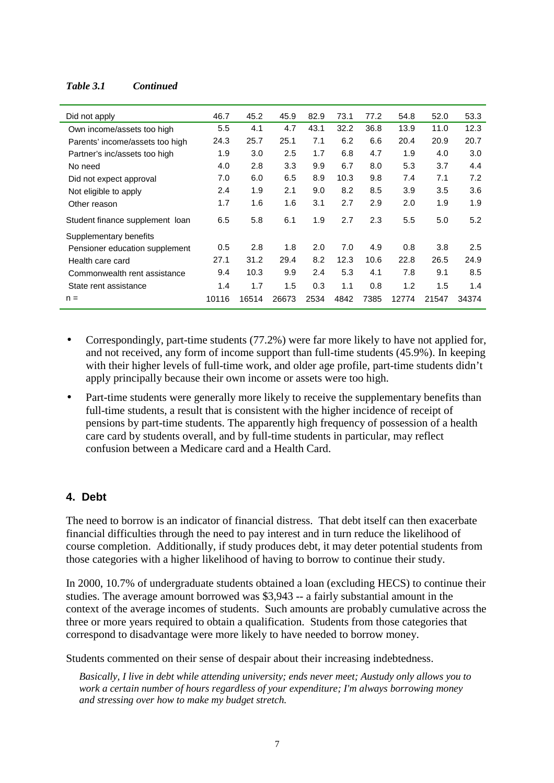#### *Table 3.1 Continued*

| Did not apply                   | 46.7  | 45.2  | 45.9  | 82.9 | 73.1 | 77.2 | 54.8  | 52.0  | 53.3  |
|---------------------------------|-------|-------|-------|------|------|------|-------|-------|-------|
| Own income/assets too high      | 5.5   | 4.1   | 4.7   | 43.1 | 32.2 | 36.8 | 13.9  | 11.0  | 12.3  |
| Parents' income/assets too high | 24.3  | 25.7  | 25.1  | 7.1  | 6.2  | 6.6  | 20.4  | 20.9  | 20.7  |
| Partner's inc/assets too high   | 1.9   | 3.0   | 2.5   | 1.7  | 6.8  | 4.7  | 1.9   | 4.0   | 3.0   |
| No need                         | 4.0   | 2.8   | 3.3   | 9.9  | 6.7  | 8.0  | 5.3   | 3.7   | 4.4   |
| Did not expect approval         | 7.0   | 6.0   | 6.5   | 8.9  | 10.3 | 9.8  | 7.4   | 7.1   | 7.2   |
| Not eligible to apply           | 2.4   | 1.9   | 2.1   | 9.0  | 8.2  | 8.5  | 3.9   | 3.5   | 3.6   |
| Other reason                    | 1.7   | 1.6   | 1.6   | 3.1  | 2.7  | 2.9  | 2.0   | 1.9   | 1.9   |
| Student finance supplement loan | 6.5   | 5.8   | 6.1   | 1.9  | 2.7  | 2.3  | 5.5   | 5.0   | 5.2   |
| Supplementary benefits          |       |       |       |      |      |      |       |       |       |
| Pensioner education supplement  | 0.5   | 2.8   | 1.8   | 2.0  | 7.0  | 4.9  | 0.8   | 3.8   | 2.5   |
| Health care card                | 27.1  | 31.2  | 29.4  | 8.2  | 12.3 | 10.6 | 22.8  | 26.5  | 24.9  |
| Commonwealth rent assistance    | 9.4   | 10.3  | 9.9   | 2.4  | 5.3  | 4.1  | 7.8   | 9.1   | 8.5   |
| State rent assistance           | 1.4   | 1.7   | 1.5   | 0.3  | 1.1  | 0.8  | 1.2   | 1.5   | 1.4   |
| $n =$                           | 10116 | 16514 | 26673 | 2534 | 4842 | 7385 | 12774 | 21547 | 34374 |

- Correspondingly, part-time students (77.2%) were far more likely to have not applied for, and not received, any form of income support than full-time students (45.9%). In keeping with their higher levels of full-time work, and older age profile, part-time students didn't apply principally because their own income or assets were too high.
- Part-time students were generally more likely to receive the supplementary benefits than full-time students, a result that is consistent with the higher incidence of receipt of pensions by part-time students. The apparently high frequency of possession of a health care card by students overall, and by full-time students in particular, may reflect confusion between a Medicare card and a Health Card.

#### **4. Debt**

The need to borrow is an indicator of financial distress. That debt itself can then exacerbate financial difficulties through the need to pay interest and in turn reduce the likelihood of course completion. Additionally, if study produces debt, it may deter potential students from those categories with a higher likelihood of having to borrow to continue their study.

In 2000, 10.7% of undergraduate students obtained a loan (excluding HECS) to continue their studies. The average amount borrowed was \$3,943 -- a fairly substantial amount in the context of the average incomes of students. Such amounts are probably cumulative across the three or more years required to obtain a qualification. Students from those categories that correspond to disadvantage were more likely to have needed to borrow money.

Students commented on their sense of despair about their increasing indebtedness.

*Basically, I live in debt while attending university; ends never meet; Austudy only allows you to work a certain number of hours regardless of your expenditure; I'm always borrowing money and stressing over how to make my budget stretch.*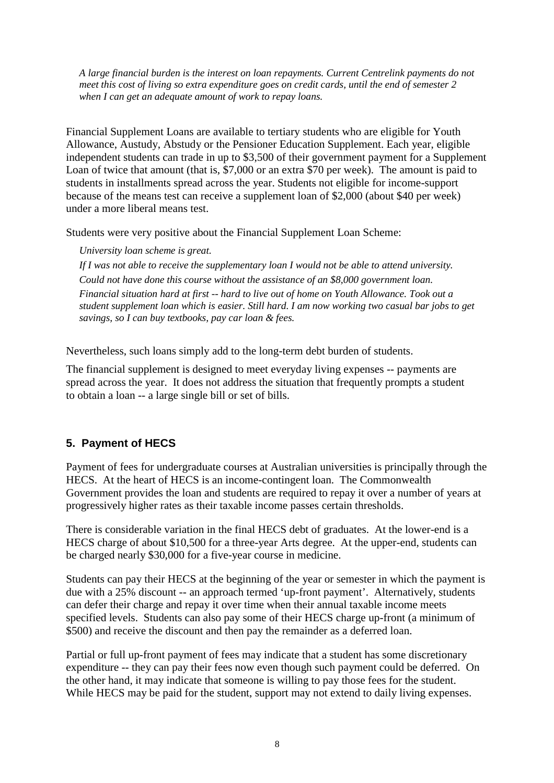*A large financial burden is the interest on loan repayments. Current Centrelink payments do not meet this cost of living so extra expenditure goes on credit cards, until the end of semester 2 when I can get an adequate amount of work to repay loans.*

Financial Supplement Loans are available to tertiary students who are eligible for Youth Allowance, Austudy, Abstudy or the Pensioner Education Supplement. Each year, eligible independent students can trade in up to \$3,500 of their government payment for a Supplement Loan of twice that amount (that is, \$7,000 or an extra \$70 per week). The amount is paid to students in installments spread across the year. Students not eligible for income-support because of the means test can receive a supplement loan of \$2,000 (about \$40 per week) under a more liberal means test.

Students were very positive about the Financial Supplement Loan Scheme:

*University loan scheme is great.*

*If I was not able to receive the supplementary loan I would not be able to attend university. Could not have done this course without the assistance of an \$8,000 government loan. Financial situation hard at first -- hard to live out of home on Youth Allowance. Took out a student supplement loan which is easier. Still hard. I am now working two casual bar jobs to get savings, so I can buy textbooks, pay car loan & fees.*

Nevertheless, such loans simply add to the long-term debt burden of students.

The financial supplement is designed to meet everyday living expenses -- payments are spread across the year. It does not address the situation that frequently prompts a student to obtain a loan -- a large single bill or set of bills.

# **5. Payment of HECS**

Payment of fees for undergraduate courses at Australian universities is principally through the HECS. At the heart of HECS is an income-contingent loan. The Commonwealth Government provides the loan and students are required to repay it over a number of years at progressively higher rates as their taxable income passes certain thresholds.

There is considerable variation in the final HECS debt of graduates. At the lower-end is a HECS charge of about \$10,500 for a three-year Arts degree. At the upper-end, students can be charged nearly \$30,000 for a five-year course in medicine.

Students can pay their HECS at the beginning of the year or semester in which the payment is due with a 25% discount -- an approach termed 'up-front payment'. Alternatively, students can defer their charge and repay it over time when their annual taxable income meets specified levels. Students can also pay some of their HECS charge up-front (a minimum of \$500) and receive the discount and then pay the remainder as a deferred loan.

Partial or full up-front payment of fees may indicate that a student has some discretionary expenditure -- they can pay their fees now even though such payment could be deferred. On the other hand, it may indicate that someone is willing to pay those fees for the student. While HECS may be paid for the student, support may not extend to daily living expenses.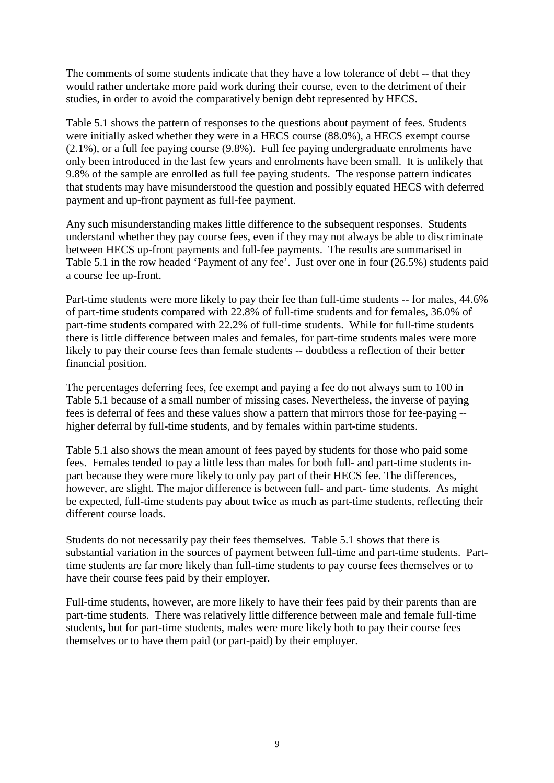The comments of some students indicate that they have a low tolerance of debt -- that they would rather undertake more paid work during their course, even to the detriment of their studies, in order to avoid the comparatively benign debt represented by HECS.

Table 5.1 shows the pattern of responses to the questions about payment of fees. Students were initially asked whether they were in a HECS course (88.0%), a HECS exempt course (2.1%), or a full fee paying course (9.8%). Full fee paying undergraduate enrolments have only been introduced in the last few years and enrolments have been small. It is unlikely that 9.8% of the sample are enrolled as full fee paying students. The response pattern indicates that students may have misunderstood the question and possibly equated HECS with deferred payment and up-front payment as full-fee payment.

Any such misunderstanding makes little difference to the subsequent responses. Students understand whether they pay course fees, even if they may not always be able to discriminate between HECS up-front payments and full-fee payments. The results are summarised in Table 5.1 in the row headed 'Payment of any fee'. Just over one in four (26.5%) students paid a course fee up-front.

Part-time students were more likely to pay their fee than full-time students -- for males, 44.6% of part-time students compared with 22.8% of full-time students and for females, 36.0% of part-time students compared with 22.2% of full-time students. While for full-time students there is little difference between males and females, for part-time students males were more likely to pay their course fees than female students -- doubtless a reflection of their better financial position.

The percentages deferring fees, fee exempt and paying a fee do not always sum to 100 in Table 5.1 because of a small number of missing cases. Nevertheless, the inverse of paying fees is deferral of fees and these values show a pattern that mirrors those for fee-paying - higher deferral by full-time students, and by females within part-time students.

Table 5.1 also shows the mean amount of fees payed by students for those who paid some fees. Females tended to pay a little less than males for both full- and part-time students inpart because they were more likely to only pay part of their HECS fee. The differences, however, are slight. The major difference is between full- and part- time students. As might be expected, full-time students pay about twice as much as part-time students, reflecting their different course loads.

Students do not necessarily pay their fees themselves. Table 5.1 shows that there is substantial variation in the sources of payment between full-time and part-time students. Parttime students are far more likely than full-time students to pay course fees themselves or to have their course fees paid by their employer.

Full-time students, however, are more likely to have their fees paid by their parents than are part-time students. There was relatively little difference between male and female full-time students, but for part-time students, males were more likely both to pay their course fees themselves or to have them paid (or part-paid) by their employer.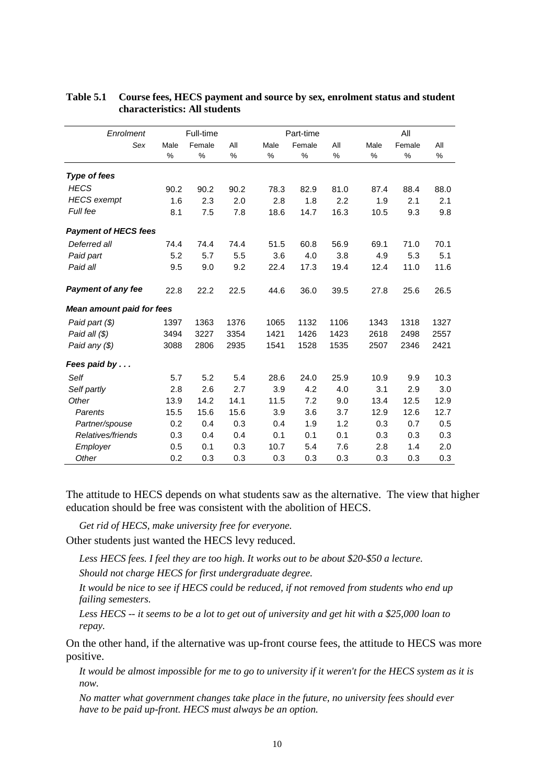| Enrolment                        |      | Full-time |      |      | Part-time |      |      | All    |      |
|----------------------------------|------|-----------|------|------|-----------|------|------|--------|------|
| Sex                              | Male | Female    | All  | Male | Female    | All  | Male | Female | All  |
|                                  | %    | %         | %    | %    | %         | %    | %    | $\%$   | %    |
| <b>Type of fees</b>              |      |           |      |      |           |      |      |        |      |
| <b>HECS</b>                      | 90.2 | 90.2      | 90.2 | 78.3 | 82.9      | 81.0 | 87.4 | 88.4   | 88.0 |
| <b>HECS</b> exempt               | 1.6  | 2.3       | 2.0  | 2.8  | 1.8       | 2.2  | 1.9  | 2.1    | 2.1  |
| Full fee                         | 8.1  | 7.5       | 7.8  | 18.6 | 14.7      | 16.3 | 10.5 | 9.3    | 9.8  |
| <b>Payment of HECS fees</b>      |      |           |      |      |           |      |      |        |      |
| Deferred all                     | 74.4 | 74.4      | 74.4 | 51.5 | 60.8      | 56.9 | 69.1 | 71.0   | 70.1 |
| Paid part                        | 5.2  | 5.7       | 5.5  | 3.6  | 4.0       | 3.8  | 4.9  | 5.3    | 5.1  |
| Paid all                         | 9.5  | 9.0       | 9.2  | 22.4 | 17.3      | 19.4 | 12.4 | 11.0   | 11.6 |
| <b>Payment of any fee</b>        | 22.8 | 22.2      | 22.5 | 44.6 | 36.0      | 39.5 | 27.8 | 25.6   | 26.5 |
| <b>Mean amount paid for fees</b> |      |           |      |      |           |      |      |        |      |
| Paid part (\$)                   | 1397 | 1363      | 1376 | 1065 | 1132      | 1106 | 1343 | 1318   | 1327 |
| Paid all (\$)                    | 3494 | 3227      | 3354 | 1421 | 1426      | 1423 | 2618 | 2498   | 2557 |
| Paid any (\$)                    | 3088 | 2806      | 2935 | 1541 | 1528      | 1535 | 2507 | 2346   | 2421 |
| Fees paid by                     |      |           |      |      |           |      |      |        |      |
| Self                             | 5.7  | 5.2       | 5.4  | 28.6 | 24.0      | 25.9 | 10.9 | 9.9    | 10.3 |
| Self partly                      | 2.8  | 2.6       | 2.7  | 3.9  | 4.2       | 4.0  | 3.1  | 2.9    | 3.0  |
| Other                            | 13.9 | 14.2      | 14.1 | 11.5 | 7.2       | 9.0  | 13.4 | 12.5   | 12.9 |
| Parents                          | 15.5 | 15.6      | 15.6 | 3.9  | 3.6       | 3.7  | 12.9 | 12.6   | 12.7 |
| Partner/spouse                   | 0.2  | 0.4       | 0.3  | 0.4  | 1.9       | 1.2  | 0.3  | 0.7    | 0.5  |
| Relatives/friends                | 0.3  | 0.4       | 0.4  | 0.1  | 0.1       | 0.1  | 0.3  | 0.3    | 0.3  |
| Employer                         | 0.5  | 0.1       | 0.3  | 10.7 | 5.4       | 7.6  | 2.8  | 1.4    | 2.0  |
| Other                            | 0.2  | 0.3       | 0.3  | 0.3  | 0.3       | 0.3  | 0.3  | 0.3    | 0.3  |

#### **Table 5.1 Course fees, HECS payment and source by sex, enrolment status and student characteristics: All students**

The attitude to HECS depends on what students saw as the alternative. The view that higher education should be free was consistent with the abolition of HECS.

*Get rid of HECS, make university free for everyone.*

Other students just wanted the HECS levy reduced.

*Less HECS fees. I feel they are too high. It works out to be about \$20-\$50 a lecture.*

*Should not charge HECS for first undergraduate degree.*

*It would be nice to see if HECS could be reduced, if not removed from students who end up failing semesters.*

*Less HECS -- it seems to be a lot to get out of university and get hit with a \$25,000 loan to repay.*

On the other hand, if the alternative was up-front course fees, the attitude to HECS was more positive.

*It would be almost impossible for me to go to university if it weren't for the HECS system as it is now.*

*No matter what government changes take place in the future, no university fees should ever have to be paid up-front. HECS must always be an option.*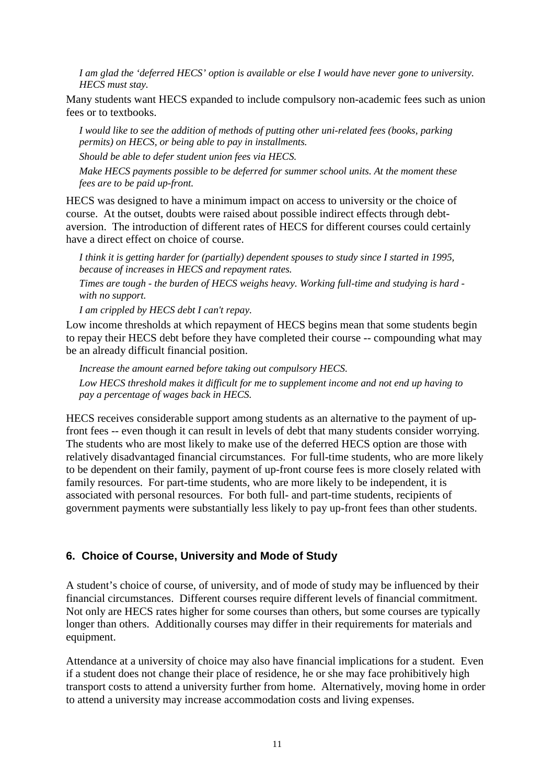*I am glad the 'deferred HECS' option is available or else I would have never gone to university. HECS must stay.*

Many students want HECS expanded to include compulsory non-academic fees such as union fees or to textbooks.

*I would like to see the addition of methods of putting other uni-related fees (books, parking permits) on HECS, or being able to pay in installments.*

*Should be able to defer student union fees via HECS.*

*Make HECS payments possible to be deferred for summer school units. At the moment these fees are to be paid up-front.*

HECS was designed to have a minimum impact on access to university or the choice of course. At the outset, doubts were raised about possible indirect effects through debtaversion. The introduction of different rates of HECS for different courses could certainly have a direct effect on choice of course.

*I think it is getting harder for (partially) dependent spouses to study since I started in 1995, because of increases in HECS and repayment rates.*

*Times are tough - the burden of HECS weighs heavy. Working full-time and studying is hard with no support.*

*I am crippled by HECS debt I can't repay.*

Low income thresholds at which repayment of HECS begins mean that some students begin to repay their HECS debt before they have completed their course -- compounding what may be an already difficult financial position.

*Increase the amount earned before taking out compulsory HECS. Low HECS threshold makes it difficult for me to supplement income and not end up having to pay a percentage of wages back in HECS.*

HECS receives considerable support among students as an alternative to the payment of upfront fees -- even though it can result in levels of debt that many students consider worrying. The students who are most likely to make use of the deferred HECS option are those with relatively disadvantaged financial circumstances. For full-time students, who are more likely to be dependent on their family, payment of up-front course fees is more closely related with family resources. For part-time students, who are more likely to be independent, it is associated with personal resources. For both full- and part-time students, recipients of government payments were substantially less likely to pay up-front fees than other students.

#### **6. Choice of Course, University and Mode of Study**

A student's choice of course, of university, and of mode of study may be influenced by their financial circumstances. Different courses require different levels of financial commitment. Not only are HECS rates higher for some courses than others, but some courses are typically longer than others. Additionally courses may differ in their requirements for materials and equipment.

Attendance at a university of choice may also have financial implications for a student. Even if a student does not change their place of residence, he or she may face prohibitively high transport costs to attend a university further from home. Alternatively, moving home in order to attend a university may increase accommodation costs and living expenses.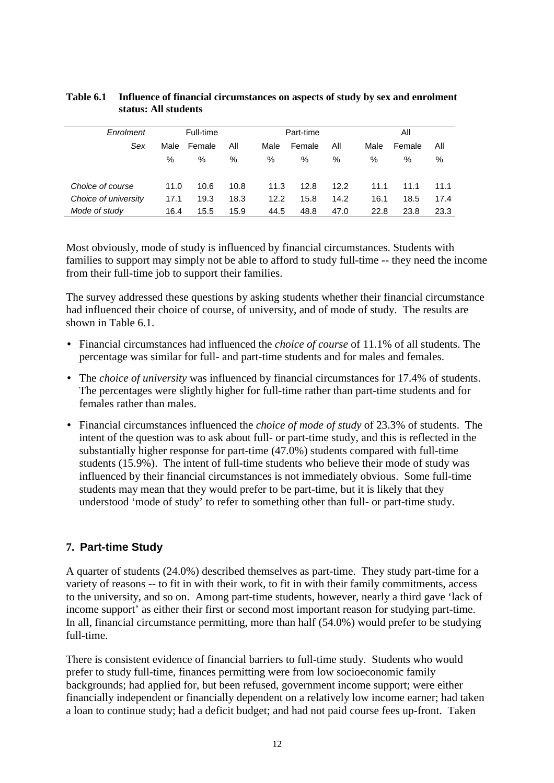| Enrolment            |      | Full-time |      |      | Part-time |      |      | Αll    |      |  |
|----------------------|------|-----------|------|------|-----------|------|------|--------|------|--|
| Sex                  | Male | Female    | All  | Male | Female    | All  | Male | Female | All  |  |
|                      | %    | %         | %    | %    | %         | %    | %    | %      | %    |  |
| Choice of course     | 11.0 | 10.6      | 10.8 | 11.3 | 12.8      | 12.2 | 11.1 | 11.1   | 11.1 |  |
| Choice of university | 17.1 | 19.3      | 18.3 | 12.2 | 15.8      | 14.2 | 16.1 | 18.5   | 17.4 |  |
| Mode of study        | 16.4 | 15.5      | 15.9 | 44.5 | 48.8      | 47.0 | 22.8 | 23.8   | 23.3 |  |

#### **Table 6.1 Influence of financial circumstances on aspects of study by sex and enrolment status: All students**

Most obviously, mode of study is influenced by financial circumstances. Students with families to support may simply not be able to afford to study full-time -- they need the income from their full-time job to support their families.

The survey addressed these questions by asking students whether their financial circumstance had influenced their choice of course, of university, and of mode of study. The results are shown in Table 6.1.

- Financial circumstances had influenced the *choice of course* of 11.1% of all students. The percentage was similar for full- and part-time students and for males and females.
- The *choice of university* was influenced by financial circumstances for 17.4% of students. The percentages were slightly higher for full-time rather than part-time students and for females rather than males.
- Financial circumstances influenced the *choice of mode of study* of 23.3% of students. The intent of the question was to ask about full- or part-time study, and this is reflected in the substantially higher response for part-time (47.0%) students compared with full-time students (15.9%). The intent of full-time students who believe their mode of study was influenced by their financial circumstances is not immediately obvious. Some full-time students may mean that they would prefer to be part-time, but it is likely that they understood 'mode of study' to refer to something other than full- or part-time study.

## **7. Part-time Study**

A quarter of students (24.0%) described themselves as part-time. They study part-time for a variety of reasons -- to fit in with their work, to fit in with their family commitments, access to the university, and so on. Among part-time students, however, nearly a third gave 'lack of income support' as either their first or second most important reason for studying part-time. In all, financial circumstance permitting, more than half (54.0%) would prefer to be studying full-time.

There is consistent evidence of financial barriers to full-time study. Students who would prefer to study full-time, finances permitting were from low socioeconomic family backgrounds; had applied for, but been refused, government income support; were either financially independent or financially dependent on a relatively low income earner; had taken a loan to continue study; had a deficit budget; and had not paid course fees up-front. Taken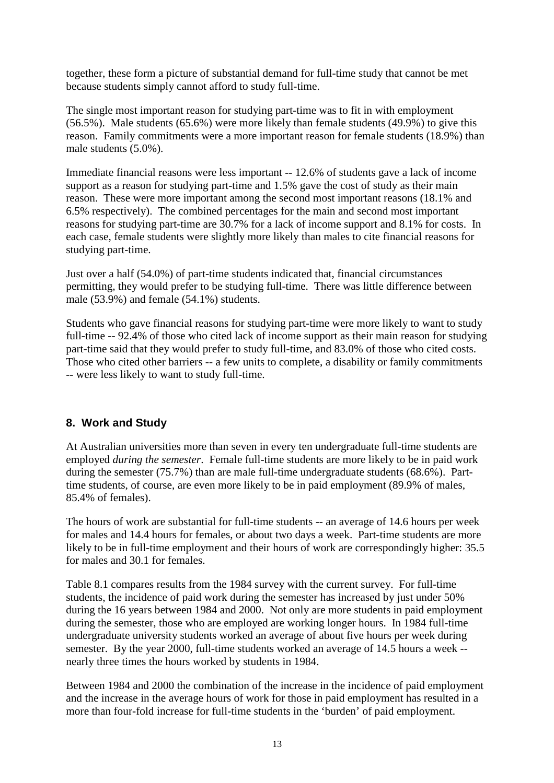together, these form a picture of substantial demand for full-time study that cannot be met because students simply cannot afford to study full-time.

The single most important reason for studying part-time was to fit in with employment (56.5%). Male students (65.6%) were more likely than female students (49.9%) to give this reason. Family commitments were a more important reason for female students (18.9%) than male students (5.0%).

Immediate financial reasons were less important -- 12.6% of students gave a lack of income support as a reason for studying part-time and 1.5% gave the cost of study as their main reason. These were more important among the second most important reasons (18.1% and 6.5% respectively). The combined percentages for the main and second most important reasons for studying part-time are 30.7% for a lack of income support and 8.1% for costs. In each case, female students were slightly more likely than males to cite financial reasons for studying part-time.

Just over a half (54.0%) of part-time students indicated that, financial circumstances permitting, they would prefer to be studying full-time. There was little difference between male (53.9%) and female (54.1%) students.

Students who gave financial reasons for studying part-time were more likely to want to study full-time -- 92.4% of those who cited lack of income support as their main reason for studying part-time said that they would prefer to study full-time, and 83.0% of those who cited costs. Those who cited other barriers -- a few units to complete, a disability or family commitments -- were less likely to want to study full-time.

## **8. Work and Study**

At Australian universities more than seven in every ten undergraduate full-time students are employed *during the semester*. Female full-time students are more likely to be in paid work during the semester (75.7%) than are male full-time undergraduate students (68.6%). Parttime students, of course, are even more likely to be in paid employment (89.9% of males, 85.4% of females).

The hours of work are substantial for full-time students -- an average of 14.6 hours per week for males and 14.4 hours for females, or about two days a week. Part-time students are more likely to be in full-time employment and their hours of work are correspondingly higher: 35.5 for males and 30.1 for females.

Table 8.1 compares results from the 1984 survey with the current survey. For full-time students, the incidence of paid work during the semester has increased by just under 50% during the 16 years between 1984 and 2000. Not only are more students in paid employment during the semester, those who are employed are working longer hours. In 1984 full-time undergraduate university students worked an average of about five hours per week during semester. By the year 2000, full-time students worked an average of 14.5 hours a week - nearly three times the hours worked by students in 1984.

Between 1984 and 2000 the combination of the increase in the incidence of paid employment and the increase in the average hours of work for those in paid employment has resulted in a more than four-fold increase for full-time students in the 'burden' of paid employment.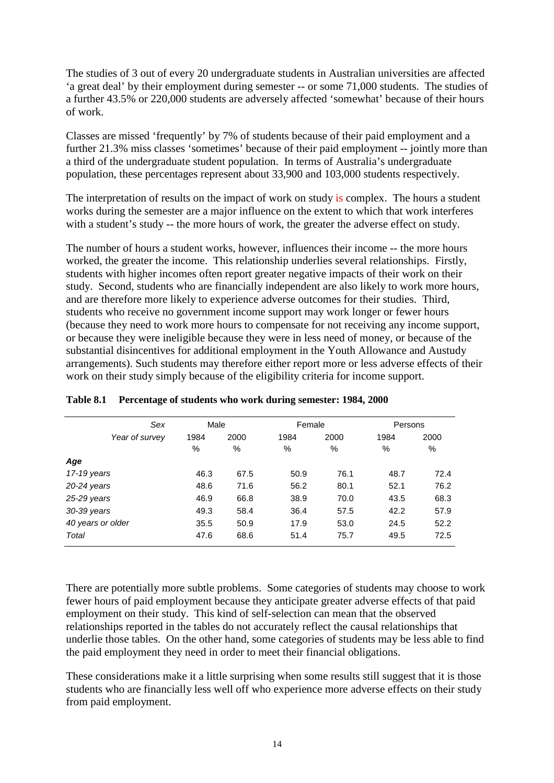The studies of 3 out of every 20 undergraduate students in Australian universities are affected 'a great deal' by their employment during semester -- or some 71,000 students. The studies of a further 43.5% or 220,000 students are adversely affected 'somewhat' because of their hours of work.

Classes are missed 'frequently' by 7% of students because of their paid employment and a further 21.3% miss classes 'sometimes' because of their paid employment -- jointly more than a third of the undergraduate student population. In terms of Australia's undergraduate population, these percentages represent about 33,900 and 103,000 students respectively.

The interpretation of results on the impact of work on study is complex. The hours a student works during the semester are a major influence on the extent to which that work interferes with a student's study -- the more hours of work, the greater the adverse effect on study.

The number of hours a student works, however, influences their income -- the more hours worked, the greater the income. This relationship underlies several relationships. Firstly, students with higher incomes often report greater negative impacts of their work on their study. Second, students who are financially independent are also likely to work more hours, and are therefore more likely to experience adverse outcomes for their studies. Third, students who receive no government income support may work longer or fewer hours (because they need to work more hours to compensate for not receiving any income support, or because they were ineligible because they were in less need of money, or because of the substantial disincentives for additional employment in the Youth Allowance and Austudy arrangements). Such students may therefore either report more or less adverse effects of their work on their study simply because of the eligibility criteria for income support.

|                   | Sex            | Male |      | Female |      | Persons       |      |  |
|-------------------|----------------|------|------|--------|------|---------------|------|--|
|                   | Year of survey | 1984 | 2000 | 1984   | 2000 | 1984          | 2000 |  |
|                   |                | %    | %    | %      | %    | $\frac{0}{0}$ | %    |  |
| Age               |                |      |      |        |      |               |      |  |
| 17-19 years       |                | 46.3 | 67.5 | 50.9   | 76.1 | 48.7          | 72.4 |  |
| $20-24$ years     |                | 48.6 | 71.6 | 56.2   | 80.1 | 52.1          | 76.2 |  |
| 25-29 years       |                | 46.9 | 66.8 | 38.9   | 70.0 | 43.5          | 68.3 |  |
| 30-39 years       |                | 49.3 | 58.4 | 36.4   | 57.5 | 42.2          | 57.9 |  |
| 40 years or older |                | 35.5 | 50.9 | 17.9   | 53.0 | 24.5          | 52.2 |  |
| Total             |                | 47.6 | 68.6 | 51.4   | 75.7 | 49.5          | 72.5 |  |
|                   |                |      |      |        |      |               |      |  |

#### **Table 8.1 Percentage of students who work during semester: 1984, 2000**

There are potentially more subtle problems. Some categories of students may choose to work fewer hours of paid employment because they anticipate greater adverse effects of that paid employment on their study. This kind of self-selection can mean that the observed relationships reported in the tables do not accurately reflect the causal relationships that underlie those tables. On the other hand, some categories of students may be less able to find the paid employment they need in order to meet their financial obligations.

These considerations make it a little surprising when some results still suggest that it is those students who are financially less well off who experience more adverse effects on their study from paid employment.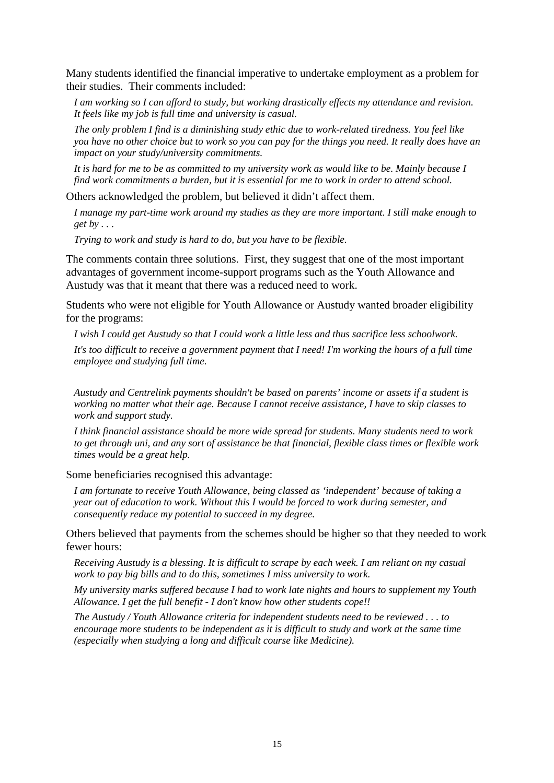Many students identified the financial imperative to undertake employment as a problem for their studies. Their comments included:

*I am working so I can afford to study, but working drastically effects my attendance and revision. It feels like my job is full time and university is casual.*

*The only problem I find is a diminishing study ethic due to work-related tiredness. You feel like you have no other choice but to work so you can pay for the things you need. It really does have an impact on your study/university commitments.*

*It is hard for me to be as committed to my university work as would like to be. Mainly because I find work commitments a burden, but it is essential for me to work in order to attend school.*

Others acknowledged the problem, but believed it didn't affect them.

*I manage my part-time work around my studies as they are more important. I still make enough to get by . . .*

*Trying to work and study is hard to do, but you have to be flexible.*

The comments contain three solutions. First, they suggest that one of the most important advantages of government income-support programs such as the Youth Allowance and Austudy was that it meant that there was a reduced need to work.

Students who were not eligible for Youth Allowance or Austudy wanted broader eligibility for the programs:

*I wish I could get Austudy so that I could work a little less and thus sacrifice less schoolwork.*

*It's too difficult to receive a government payment that I need! I'm working the hours of a full time employee and studying full time.*

*Austudy and Centrelink payments shouldn't be based on parents' income or assets if a student is working no matter what their age. Because I cannot receive assistance, I have to skip classes to work and support study.*

*I think financial assistance should be more wide spread for students. Many students need to work to get through uni, and any sort of assistance be that financial, flexible class times or flexible work times would be a great help.*

Some beneficiaries recognised this advantage:

*I am fortunate to receive Youth Allowance, being classed as 'independent' because of taking a year out of education to work. Without this I would be forced to work during semester, and consequently reduce my potential to succeed in my degree.*

Others believed that payments from the schemes should be higher so that they needed to work fewer hours:

*Receiving Austudy is a blessing. It is difficult to scrape by each week. I am reliant on my casual work to pay big bills and to do this, sometimes I miss university to work.*

*My university marks suffered because I had to work late nights and hours to supplement my Youth Allowance. I get the full benefit - I don't know how other students cope!!*

*The Austudy / Youth Allowance criteria for independent students need to be reviewed . . . to encourage more students to be independent as it is difficult to study and work at the same time (especially when studying a long and difficult course like Medicine).*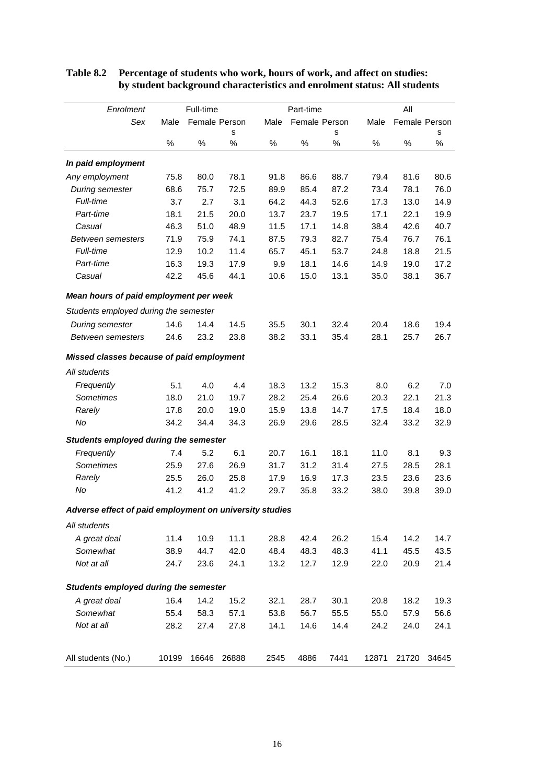| Enrolment                                               |       | Full-time     |       |      | Part-time     |      |       | All           |       |
|---------------------------------------------------------|-------|---------------|-------|------|---------------|------|-------|---------------|-------|
| Sex                                                     | Male  | Female Person |       | Male | Female Person |      | Male  | Female Person |       |
|                                                         |       |               | s     |      |               | s    |       |               | s     |
|                                                         | $\%$  | $\%$          | $\%$  | $\%$ | $\%$          | %    | ℅     | ℅             | $\%$  |
| In paid employment                                      |       |               |       |      |               |      |       |               |       |
| Any employment                                          | 75.8  | 80.0          | 78.1  | 91.8 | 86.6          | 88.7 | 79.4  | 81.6          | 80.6  |
| During semester                                         | 68.6  | 75.7          | 72.5  | 89.9 | 85.4          | 87.2 | 73.4  | 78.1          | 76.0  |
| Full-time                                               | 3.7   | 2.7           | 3.1   | 64.2 | 44.3          | 52.6 | 17.3  | 13.0          | 14.9  |
| Part-time                                               | 18.1  | 21.5          | 20.0  | 13.7 | 23.7          | 19.5 | 17.1  | 22.1          | 19.9  |
| Casual                                                  | 46.3  | 51.0          | 48.9  | 11.5 | 17.1          | 14.8 | 38.4  | 42.6          | 40.7  |
| <b>Between semesters</b>                                | 71.9  | 75.9          | 74.1  | 87.5 | 79.3          | 82.7 | 75.4  | 76.7          | 76.1  |
| Full-time                                               | 12.9  | 10.2          | 11.4  | 65.7 | 45.1          | 53.7 | 24.8  | 18.8          | 21.5  |
| Part-time                                               | 16.3  | 19.3          | 17.9  | 9.9  | 18.1          | 14.6 | 14.9  | 19.0          | 17.2  |
| Casual                                                  | 42.2  | 45.6          | 44.1  | 10.6 | 15.0          | 13.1 | 35.0  | 38.1          | 36.7  |
| Mean hours of paid employment per week                  |       |               |       |      |               |      |       |               |       |
| Students employed during the semester                   |       |               |       |      |               |      |       |               |       |
| During semester                                         | 14.6  | 14.4          | 14.5  | 35.5 | 30.1          | 32.4 | 20.4  | 18.6          | 19.4  |
| <b>Between semesters</b>                                | 24.6  | 23.2          | 23.8  | 38.2 | 33.1          | 35.4 | 28.1  | 25.7          | 26.7  |
| Missed classes because of paid employment               |       |               |       |      |               |      |       |               |       |
| All students                                            |       |               |       |      |               |      |       |               |       |
| Frequently                                              | 5.1   | 4.0           | 4.4   | 18.3 | 13.2          | 15.3 | 8.0   | 6.2           | 7.0   |
| <b>Sometimes</b>                                        | 18.0  | 21.0          | 19.7  | 28.2 | 25.4          | 26.6 | 20.3  | 22.1          | 21.3  |
| Rarely                                                  | 17.8  | 20.0          | 19.0  | 15.9 | 13.8          | 14.7 | 17.5  | 18.4          | 18.0  |
| No                                                      | 34.2  | 34.4          | 34.3  | 26.9 | 29.6          | 28.5 | 32.4  | 33.2          | 32.9  |
| <b>Students employed during the semester</b>            |       |               |       |      |               |      |       |               |       |
| Frequently                                              | 7.4   | 5.2           | 6.1   | 20.7 | 16.1          | 18.1 | 11.0  | 8.1           | 9.3   |
| <b>Sometimes</b>                                        | 25.9  | 27.6          | 26.9  | 31.7 | 31.2          | 31.4 | 27.5  | 28.5          | 28.1  |
| Rarely                                                  | 25.5  | 26.0          | 25.8  | 17.9 | 16.9          | 17.3 | 23.5  | 23.6          | 23.6  |
| No                                                      | 41.2  | 41.2          | 41.2  | 29.7 | 35.8          | 33.2 | 38.0  | 39.8          | 39.0  |
| Adverse effect of paid employment on university studies |       |               |       |      |               |      |       |               |       |
| All students                                            |       |               |       |      |               |      |       |               |       |
| A great deal                                            | 11.4  | 10.9          | 11.1  | 28.8 | 42.4          | 26.2 | 15.4  | 14.2          | 14.7  |
| Somewhat                                                | 38.9  | 44.7          | 42.0  | 48.4 | 48.3          | 48.3 | 41.1  | 45.5          | 43.5  |
| Not at all                                              | 24.7  | 23.6          | 24.1  | 13.2 | 12.7          | 12.9 | 22.0  | 20.9          | 21.4  |
| Students employed during the semester                   |       |               |       |      |               |      |       |               |       |
| A great deal                                            | 16.4  | 14.2          | 15.2  | 32.1 | 28.7          | 30.1 | 20.8  | 18.2          | 19.3  |
| Somewhat                                                | 55.4  | 58.3          | 57.1  | 53.8 | 56.7          | 55.5 | 55.0  | 57.9          | 56.6  |
| Not at all                                              | 28.2  | 27.4          | 27.8  | 14.1 | 14.6          | 14.4 | 24.2  | 24.0          | 24.1  |
|                                                         |       |               |       |      |               |      |       |               |       |
| All students (No.)                                      | 10199 | 16646         | 26888 | 2545 | 4886          | 7441 | 12871 | 21720         | 34645 |

#### **Table 8.2 Percentage of students who work, hours of work, and affect on studies: by student background characteristics and enrolment status: All students**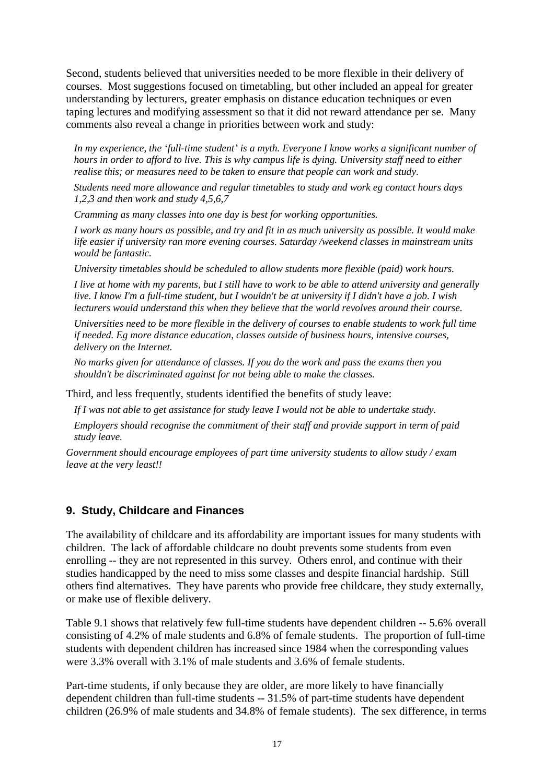Second, students believed that universities needed to be more flexible in their delivery of courses. Most suggestions focused on timetabling, but other included an appeal for greater understanding by lecturers, greater emphasis on distance education techniques or even taping lectures and modifying assessment so that it did not reward attendance per se. Many comments also reveal a change in priorities between work and study:

*In my experience, the 'full-time student' is a myth. Everyone I know works a significant number of hours in order to afford to live. This is why campus life is dying. University staff need to either realise this; or measures need to be taken to ensure that people can work and study.*

*Students need more allowance and regular timetables to study and work eg contact hours days 1,2,3 and then work and study 4,5,6,7*

*Cramming as many classes into one day is best for working opportunities.*

*I work as many hours as possible, and try and fit in as much university as possible. It would make life easier if university ran more evening courses. Saturday /weekend classes in mainstream units would be fantastic.*

*University timetables should be scheduled to allow students more flexible (paid) work hours.*

*I live at home with my parents, but I still have to work to be able to attend university and generally live. I know I'm a full-time student, but I wouldn't be at university if I didn't have a job. I wish lecturers would understand this when they believe that the world revolves around their course.*

*Universities need to be more flexible in the delivery of courses to enable students to work full time if needed. Eg more distance education, classes outside of business hours, intensive courses, delivery on the Internet.*

*No marks given for attendance of classes. If you do the work and pass the exams then you shouldn't be discriminated against for not being able to make the classes.*

Third, and less frequently, students identified the benefits of study leave:

*If I was not able to get assistance for study leave I would not be able to undertake study.*

*Employers should recognise the commitment of their staff and provide support in term of paid study leave.*

*Government should encourage employees of part time university students to allow study / exam leave at the very least!!*

#### **9. Study, Childcare and Finances**

The availability of childcare and its affordability are important issues for many students with children. The lack of affordable childcare no doubt prevents some students from even enrolling -- they are not represented in this survey. Others enrol, and continue with their studies handicapped by the need to miss some classes and despite financial hardship. Still others find alternatives. They have parents who provide free childcare, they study externally, or make use of flexible delivery.

Table 9.1 shows that relatively few full-time students have dependent children -- 5.6% overall consisting of 4.2% of male students and 6.8% of female students. The proportion of full-time students with dependent children has increased since 1984 when the corresponding values were 3.3% overall with 3.1% of male students and 3.6% of female students.

Part-time students, if only because they are older, are more likely to have financially dependent children than full-time students -- 31.5% of part-time students have dependent children (26.9% of male students and 34.8% of female students). The sex difference, in terms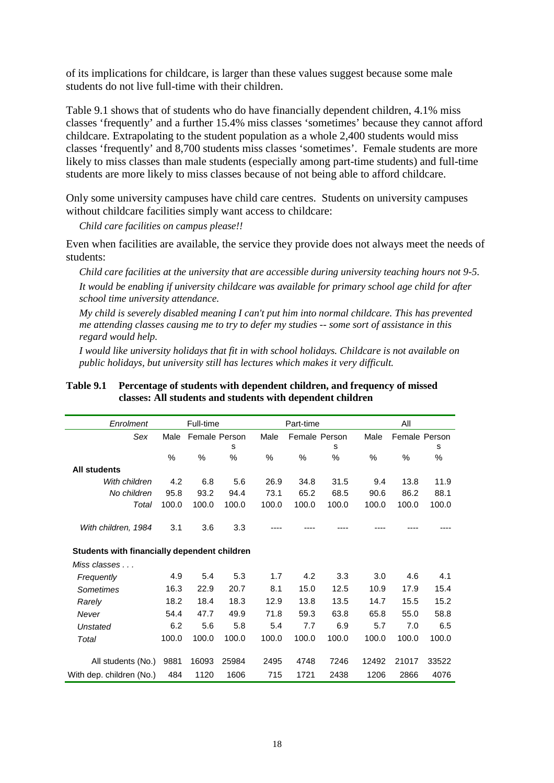of its implications for childcare, is larger than these values suggest because some male students do not live full-time with their children.

Table 9.1 shows that of students who do have financially dependent children, 4.1% miss classes 'frequently' and a further 15.4% miss classes 'sometimes' because they cannot afford childcare. Extrapolating to the student population as a whole 2,400 students would miss classes 'frequently' and 8,700 students miss classes 'sometimes'. Female students are more likely to miss classes than male students (especially among part-time students) and full-time students are more likely to miss classes because of not being able to afford childcare.

Only some university campuses have child care centres. Students on university campuses without childcare facilities simply want access to childcare:

*Child care facilities on campus please!!*

Even when facilities are available, the service they provide does not always meet the needs of students:

*Child care facilities at the university that are accessible during university teaching hours not 9-5. It would be enabling if university childcare was available for primary school age child for after school time university attendance.*

*My child is severely disabled meaning I can't put him into normal childcare. This has prevented me attending classes causing me to try to defer my studies -- some sort of assistance in this regard would help.*

*I would like university holidays that fit in with school holidays. Childcare is not available on public holidays, but university still has lectures which makes it very difficult.*

| Enrolment                                    |       | Full-time     |       |       | Part-time     |       |       | All           |       |
|----------------------------------------------|-------|---------------|-------|-------|---------------|-------|-------|---------------|-------|
| Sex                                          | Male  | Female Person |       | Male  | Female Person |       | Male  | Female Person |       |
|                                              |       |               | s     |       |               | s     |       |               | s     |
|                                              | %     | $\%$          | %     | %     | %             | $\%$  | ℅     | %             | %     |
| <b>All students</b>                          |       |               |       |       |               |       |       |               |       |
| With children                                | 4.2   | 6.8           | 5.6   | 26.9  | 34.8          | 31.5  | 9.4   | 13.8          | 11.9  |
| No children                                  | 95.8  | 93.2          | 94.4  | 73.1  | 65.2          | 68.5  | 90.6  | 86.2          | 88.1  |
| Total                                        | 100.0 | 100.0         | 100.0 | 100.0 | 100.0         | 100.0 | 100.0 | 100.0         | 100.0 |
|                                              |       |               |       |       |               |       |       |               |       |
| With children, 1984                          | 3.1   | 3.6           | 3.3   |       |               |       |       |               |       |
|                                              |       |               |       |       |               |       |       |               |       |
| Students with financially dependent children |       |               |       |       |               |       |       |               |       |
| $Miss \ classes \dots$                       |       |               |       |       |               |       |       |               |       |
| Frequently                                   | 4.9   | 5.4           | 5.3   | 1.7   | 4.2           | 3.3   | 3.0   | 4.6           | 4.1   |
| Sometimes                                    | 16.3  | 22.9          | 20.7  | 8.1   | 15.0          | 12.5  | 10.9  | 17.9          | 15.4  |
| Rarely                                       | 18.2  | 18.4          | 18.3  | 12.9  | 13.8          | 13.5  | 14.7  | 15.5          | 15.2  |
| Never                                        | 54.4  | 47.7          | 49.9  | 71.8  | 59.3          | 63.8  | 65.8  | 55.0          | 58.8  |
| <b>Unstated</b>                              | 6.2   | 5.6           | 5.8   | 5.4   | 7.7           | 6.9   | 5.7   | 7.0           | 6.5   |
| Total                                        | 100.0 | 100.0         | 100.0 | 100.0 | 100.0         | 100.0 | 100.0 | 100.0         | 100.0 |
|                                              |       |               |       |       |               |       |       |               |       |
| All students (No.)                           | 9881  | 16093         | 25984 | 2495  | 4748          | 7246  | 12492 | 21017         | 33522 |
| With dep. children (No.)                     | 484   | 1120          | 1606  | 715   | 1721          | 2438  | 1206  | 2866          | 4076  |

#### **Table 9.1 Percentage of students with dependent children, and frequency of missed classes: All students and students with dependent children**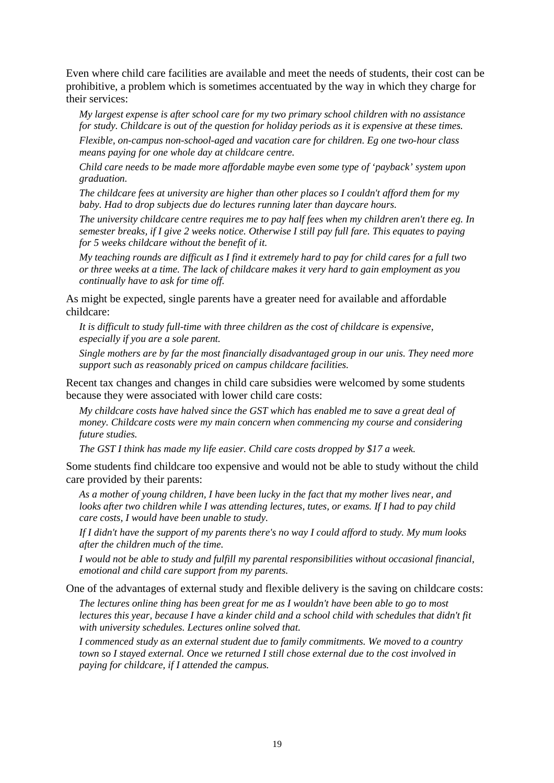Even where child care facilities are available and meet the needs of students, their cost can be prohibitive, a problem which is sometimes accentuated by the way in which they charge for their services:

*My largest expense is after school care for my two primary school children with no assistance for study. Childcare is out of the question for holiday periods as it is expensive at these times.*

*Flexible, on-campus non-school-aged and vacation care for children. Eg one two-hour class means paying for one whole day at childcare centre.*

*Child care needs to be made more affordable maybe even some type of 'payback' system upon graduation.*

*The childcare fees at university are higher than other places so I couldn't afford them for my baby. Had to drop subjects due do lectures running later than daycare hours.*

*The university childcare centre requires me to pay half fees when my children aren't there eg. In semester breaks, if I give 2 weeks notice. Otherwise I still pay full fare. This equates to paying for 5 weeks childcare without the benefit of it.*

*My teaching rounds are difficult as I find it extremely hard to pay for child cares for a full two or three weeks at a time. The lack of childcare makes it very hard to gain employment as you continually have to ask for time off.*

As might be expected, single parents have a greater need for available and affordable childcare:

*It is difficult to study full-time with three children as the cost of childcare is expensive, especially if you are a sole parent.*

*Single mothers are by far the most financially disadvantaged group in our unis. They need more support such as reasonably priced on campus childcare facilities.*

Recent tax changes and changes in child care subsidies were welcomed by some students because they were associated with lower child care costs:

*My childcare costs have halved since the GST which has enabled me to save a great deal of money. Childcare costs were my main concern when commencing my course and considering future studies.*

*The GST I think has made my life easier. Child care costs dropped by \$17 a week.*

Some students find childcare too expensive and would not be able to study without the child care provided by their parents:

*As a mother of young children, I have been lucky in the fact that my mother lives near, and looks after two children while I was attending lectures, tutes, or exams. If I had to pay child care costs, I would have been unable to study.*

*If I didn't have the support of my parents there's no way I could afford to study. My mum looks after the children much of the time.*

*I would not be able to study and fulfill my parental responsibilities without occasional financial, emotional and child care support from my parents.*

One of the advantages of external study and flexible delivery is the saving on childcare costs:

*The lectures online thing has been great for me as I wouldn't have been able to go to most lectures this year, because I have a kinder child and a school child with schedules that didn't fit with university schedules. Lectures online solved that.*

*I commenced study as an external student due to family commitments. We moved to a country town so I stayed external. Once we returned I still chose external due to the cost involved in paying for childcare, if I attended the campus.*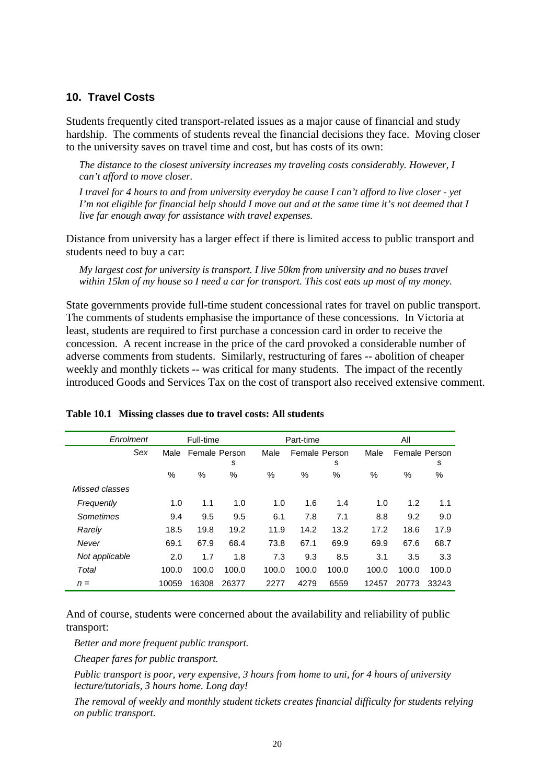#### **10. Travel Costs**

Students frequently cited transport-related issues as a major cause of financial and study hardship. The comments of students reveal the financial decisions they face. Moving closer to the university saves on travel time and cost, but has costs of its own:

*The distance to the closest university increases my traveling costs considerably. However, I can't afford to move closer.*

*I travel for 4 hours to and from university everyday be cause I can't afford to live closer - yet I'm not eligible for financial help should I move out and at the same time it's not deemed that I live far enough away for assistance with travel expenses.*

Distance from university has a larger effect if there is limited access to public transport and students need to buy a car:

*My largest cost for university is transport. I live 50km from university and no buses travel within 15km of my house so I need a car for transport. This cost eats up most of my money.*

State governments provide full-time student concessional rates for travel on public transport. The comments of students emphasise the importance of these concessions. In Victoria at least, students are required to first purchase a concession card in order to receive the concession. A recent increase in the price of the card provoked a considerable number of adverse comments from students. Similarly, restructuring of fares -- abolition of cheaper weekly and monthly tickets -- was critical for many students. The impact of the recently introduced Goods and Services Tax on the cost of transport also received extensive comment.

| Enrolment      |       | Full-time     |       |       | Part-time     |       |       | All   |               |  |
|----------------|-------|---------------|-------|-------|---------------|-------|-------|-------|---------------|--|
| Sex            | Male  | Female Person |       | Male  | Female Person |       | Male  |       | Female Person |  |
|                |       |               | s     |       |               | s     |       |       | s             |  |
|                | %     | $\%$          | %     | $\%$  | $\%$          | $\%$  | $\%$  | $\%$  | %             |  |
| Missed classes |       |               |       |       |               |       |       |       |               |  |
| Frequently     | 1.0   | 1.1           | 1.0   | 1.0   | 1.6           | 1.4   | 1.0   | 1.2   | 1.1           |  |
| Sometimes      | 9.4   | 9.5           | 9.5   | 6.1   | 7.8           | 7.1   | 8.8   | 9.2   | 9.0           |  |
| Rarely         | 18.5  | 19.8          | 19.2  | 11.9  | 14.2          | 13.2  | 17.2  | 18.6  | 17.9          |  |
| Never          | 69.1  | 67.9          | 68.4  | 73.8  | 67.1          | 69.9  | 69.9  | 67.6  | 68.7          |  |
| Not applicable | 2.0   | 1.7           | 1.8   | 7.3   | 9.3           | 8.5   | 3.1   | 3.5   | 3.3           |  |
| Total          | 100.0 | 100.0         | 100.0 | 100.0 | 100.0         | 100.0 | 100.0 | 100.0 | 100.0         |  |
| $n =$          | 10059 | 16308         | 26377 | 2277  | 4279          | 6559  | 12457 | 20773 | 33243         |  |

#### **Table 10.1 Missing classes due to travel costs: All students**

And of course, students were concerned about the availability and reliability of public transport:

*Better and more frequent public transport.*

*Cheaper fares for public transport.*

*Public transport is poor, very expensive, 3 hours from home to uni, for 4 hours of university lecture/tutorials, 3 hours home. Long day!*

*The removal of weekly and monthly student tickets creates financial difficulty for students relying on public transport.*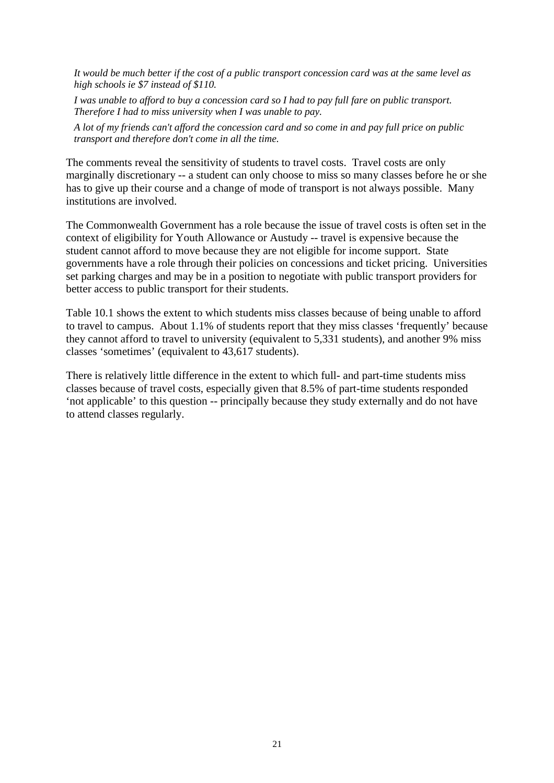*It would be much better if the cost of a public transport concession card was at the same level as high schools ie \$7 instead of \$110.*

*I was unable to afford to buy a concession card so I had to pay full fare on public transport. Therefore I had to miss university when I was unable to pay.*

*A lot of my friends can't afford the concession card and so come in and pay full price on public transport and therefore don't come in all the time.*

The comments reveal the sensitivity of students to travel costs. Travel costs are only marginally discretionary -- a student can only choose to miss so many classes before he or she has to give up their course and a change of mode of transport is not always possible. Many institutions are involved.

The Commonwealth Government has a role because the issue of travel costs is often set in the context of eligibility for Youth Allowance or Austudy -- travel is expensive because the student cannot afford to move because they are not eligible for income support. State governments have a role through their policies on concessions and ticket pricing. Universities set parking charges and may be in a position to negotiate with public transport providers for better access to public transport for their students.

Table 10.1 shows the extent to which students miss classes because of being unable to afford to travel to campus. About 1.1% of students report that they miss classes 'frequently' because they cannot afford to travel to university (equivalent to 5,331 students), and another 9% miss classes 'sometimes' (equivalent to 43,617 students).

There is relatively little difference in the extent to which full- and part-time students miss classes because of travel costs, especially given that 8.5% of part-time students responded 'not applicable' to this question -- principally because they study externally and do not have to attend classes regularly.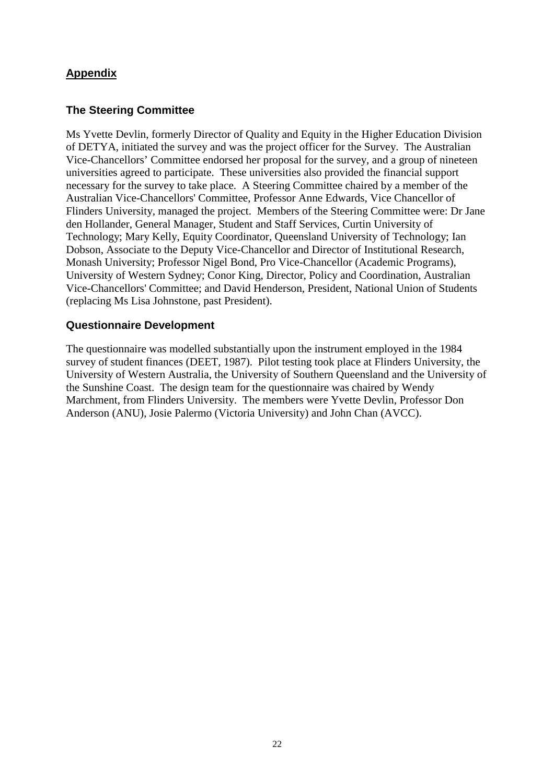# **Appendix**

#### **The Steering Committee**

Ms Yvette Devlin, formerly Director of Quality and Equity in the Higher Education Division of DETYA, initiated the survey and was the project officer for the Survey. The Australian Vice-Chancellors' Committee endorsed her proposal for the survey, and a group of nineteen universities agreed to participate. These universities also provided the financial support necessary for the survey to take place. A Steering Committee chaired by a member of the Australian Vice-Chancellors' Committee, Professor Anne Edwards, Vice Chancellor of Flinders University, managed the project. Members of the Steering Committee were: Dr Jane den Hollander, General Manager, Student and Staff Services, Curtin University of Technology; Mary Kelly, Equity Coordinator, Queensland University of Technology; Ian Dobson, Associate to the Deputy Vice-Chancellor and Director of Institutional Research, Monash University; Professor Nigel Bond, Pro Vice-Chancellor (Academic Programs), University of Western Sydney; Conor King, Director, Policy and Coordination, Australian Vice-Chancellors' Committee; and David Henderson, President, National Union of Students (replacing Ms Lisa Johnstone, past President).

#### **Questionnaire Development**

The questionnaire was modelled substantially upon the instrument employed in the 1984 survey of student finances (DEET, 1987). Pilot testing took place at Flinders University, the University of Western Australia, the University of Southern Queensland and the University of the Sunshine Coast. The design team for the questionnaire was chaired by Wendy Marchment, from Flinders University. The members were Yvette Devlin, Professor Don Anderson (ANU), Josie Palermo (Victoria University) and John Chan (AVCC).